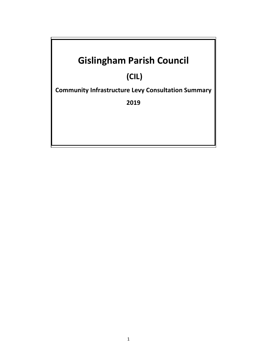# **Gislingham Parish Council**

# **(CIL)**

**Community Infrastructure Levy Consultation Summary** 

**2019**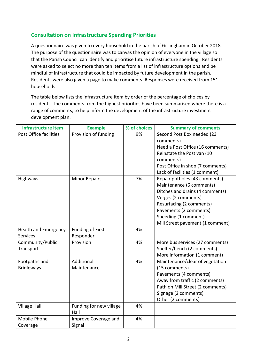### **Consultation on Infrastructure Spending Priorities**

A questionnaire was given to every household in the parish of Gislingham in October 2018. The purpose of the questionnaire was to canvas the opinion of everyone in the village so that the Parish Council can identify and prioritise future infrastructure spending. Residents were asked to select no more than ten items from a list of infrastructure options and be mindful of infrastructure that could be impacted by future development in the parish. Residents were also given a page to make comments. Responses were received from 151 households.

The table below lists the infrastructure item by order of the percentage of choices by residents. The comments from the highest priorities have been summarised where there is a range of comments, to help inform the development of the infrastructure investment development plan.

| <b>Infrastructure item</b>  | <b>Example</b>          | % of choices | <b>Summary of comments</b>       |
|-----------------------------|-------------------------|--------------|----------------------------------|
| Post Office facilities      | Provision of funding    | 9%           | Second Post Box needed (23       |
|                             |                         |              | comments)                        |
|                             |                         |              | Need a Post Office (16 comments) |
|                             |                         |              | Reinstate the Post van (10       |
|                             |                         |              | comments)                        |
|                             |                         |              | Post Office in shop (7 comments) |
|                             |                         |              | Lack of facilities (1 comment)   |
| Highways                    | <b>Minor Repairs</b>    | 7%           | Repair potholes (43 comments)    |
|                             |                         |              | Maintenance (6 comments)         |
|                             |                         |              | Ditches and drains (4 comments)  |
|                             |                         |              | Verges (2 comments)              |
|                             |                         |              | Resurfacing (2 comments)         |
|                             |                         |              | Pavements (2 comments)           |
|                             |                         |              | Speeding (1 comment)             |
|                             |                         |              | Mill Street pavement (1 comment) |
| <b>Health and Emergency</b> | <b>Funding of First</b> | 4%           |                                  |
| <b>Services</b>             | Responder               |              |                                  |
| Community/Public            | Provision               | 4%           | More bus services (27 comments)  |
| Transport                   |                         |              | Shelter/bench (2 comments)       |
|                             |                         |              | More information (1 comment)     |
| Footpaths and               | Additional              | 4%           | Maintenance/clear of vegetation  |
| <b>Bridleways</b>           | Maintenance             |              | (15 comments)                    |
|                             |                         |              | Pavements (4 comments)           |
|                             |                         |              | Away from traffic (2 comments)   |
|                             |                         |              | Path on Mill Street (2 comments) |
|                             |                         |              | Signage (2 comments)             |
|                             |                         |              | Other (2 comments)               |
| <b>Village Hall</b>         | Funding for new village | 4%           |                                  |
|                             | Hall                    |              |                                  |
| Mobile Phone                | Improve Coverage and    | 4%           |                                  |
| Coverage                    | Signal                  |              |                                  |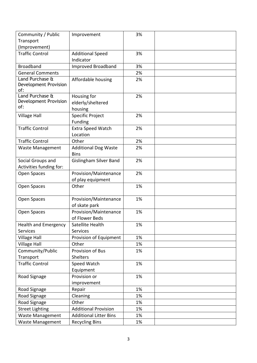| Community / Public           | Improvement                   | 3% |  |
|------------------------------|-------------------------------|----|--|
| Transport                    |                               |    |  |
| (Improvement)                |                               |    |  |
| <b>Traffic Control</b>       | <b>Additional Speed</b>       | 3% |  |
|                              | Indicator                     |    |  |
| <b>Broadband</b>             | <b>Improved Broadband</b>     | 3% |  |
| <b>General Comments</b>      |                               | 2% |  |
| Land Purchase &              | Affordable housing            | 2% |  |
| <b>Development Provision</b> |                               |    |  |
| of:                          |                               |    |  |
| Land Purchase &              | Housing for                   | 2% |  |
| Development Provision<br>of: | elderly/sheltered             |    |  |
|                              | housing                       |    |  |
| <b>Village Hall</b>          | <b>Specific Project</b>       | 2% |  |
|                              | Funding                       |    |  |
| <b>Traffic Control</b>       | Extra Speed Watch             | 2% |  |
|                              | Location                      |    |  |
| <b>Traffic Control</b>       | Other                         | 2% |  |
| Waste Management             | <b>Additional Dog Waste</b>   | 2% |  |
|                              | <b>Bins</b>                   |    |  |
| Social Groups and            | <b>Gislingham Silver Band</b> | 2% |  |
| Activities funding for:      |                               |    |  |
| Open Spaces                  | Provision/Maintenance         | 2% |  |
|                              | of play equipment             |    |  |
| Open Spaces                  | Other                         | 1% |  |
|                              |                               |    |  |
| Open Spaces                  | Provision/Maintenance         | 1% |  |
|                              | of skate park                 |    |  |
| Open Spaces                  | Provision/Maintenance         | 1% |  |
|                              | of Flower Beds                |    |  |
| Health and Emergency         | Satellite Health              | 1% |  |
| <b>Services</b>              | <b>Services</b>               |    |  |
| Village Hall                 | Provision of Equipment        | 1% |  |
| <b>Village Hall</b>          | Other                         | 1% |  |
| Community/Public             | Provision of Bus              | 1% |  |
| Transport                    | Shelters                      |    |  |
| <b>Traffic Control</b>       | Speed Watch                   | 1% |  |
|                              | Equipment                     |    |  |
| Road Signage                 | Provision or                  | 1% |  |
|                              | improvement                   |    |  |
| Road Signage                 | Repair                        | 1% |  |
| Road Signage                 | Cleaning                      | 1% |  |
| Road Signage                 | Other                         | 1% |  |
| <b>Street Lighting</b>       | <b>Additional Provision</b>   | 1% |  |
| <b>Waste Management</b>      | <b>Additional Litter Bins</b> | 1% |  |
| <b>Waste Management</b>      | <b>Recycling Bins</b>         | 1% |  |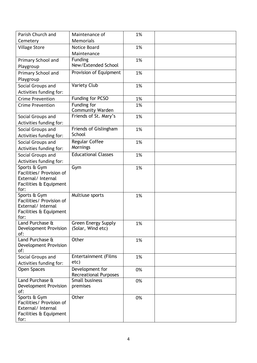| Parish Church and                              | Maintenance of               | 1% |  |
|------------------------------------------------|------------------------------|----|--|
| Cemetery                                       | <b>Memorials</b>             |    |  |
| <b>Village Store</b>                           | Notice Board                 | 1% |  |
|                                                | Maintenance                  |    |  |
| Primary School and                             | Funding                      | 1% |  |
| Playgroup                                      | New/Extended School          |    |  |
| Primary School and                             | Provision of Equipment       | 1% |  |
| Playgroup                                      |                              |    |  |
| Social Groups and                              | Variety Club                 | 1% |  |
| Activities funding for:                        |                              |    |  |
| <b>Crime Prevention</b>                        | Funding for PCSO             | 1% |  |
| <b>Crime Prevention</b>                        | Funding for                  | 1% |  |
|                                                | <b>Community Warden</b>      |    |  |
| Social Groups and                              | Friends of St. Mary's        | 1% |  |
| Activities funding for:                        |                              |    |  |
| Social Groups and                              | Friends of Gislingham        | 1% |  |
| Activities funding for:                        | School                       |    |  |
| Social Groups and                              | <b>Regular Coffee</b>        | 1% |  |
| Activities funding for:                        | Mornings                     |    |  |
| Social Groups and                              | <b>Educational Classes</b>   | 1% |  |
| Activities funding for:                        |                              |    |  |
| Sports & Gym                                   | Gym                          | 1% |  |
| Facilities/ Provision of                       |                              |    |  |
| External/ Internal                             |                              |    |  |
| Facilities & Equipment<br>for:                 |                              |    |  |
| Sports & Gym                                   | Multiuse sports              | 1% |  |
| Facilities/ Provision of                       |                              |    |  |
| External/ Internal                             |                              |    |  |
| Facilities & Equipment                         |                              |    |  |
| for:                                           |                              |    |  |
| Land Purchase &                                | Green Energy Supply          | 1% |  |
| Development Provision                          | (Solar, Wind etc)            |    |  |
| of:<br>Land Purchase &                         | Other                        |    |  |
| Development Provision                          |                              | 1% |  |
| of:                                            |                              |    |  |
| Social Groups and                              | Entertainment (Films         | 1% |  |
| Activities funding for:                        | etc)                         |    |  |
| <b>Open Spaces</b>                             | Development for              | 0% |  |
|                                                | <b>Recreational Purposes</b> |    |  |
| Land Purchase &                                | Small business               | 0% |  |
| Development Provision                          | premises                     |    |  |
| of:                                            |                              |    |  |
| Sports & Gym                                   | Other                        | 0% |  |
| Facilities/ Provision of<br>External/ Internal |                              |    |  |
| Facilities & Equipment                         |                              |    |  |
| for:                                           |                              |    |  |
|                                                |                              |    |  |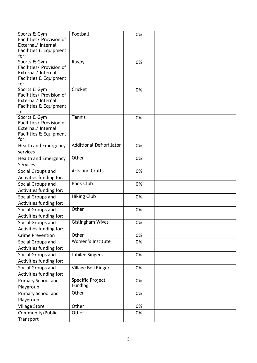| Sports & Gym<br>Facilities/ Provision of<br>External/ Internal<br>Facilities & Equipment         | Football                           | 0% |  |
|--------------------------------------------------------------------------------------------------|------------------------------------|----|--|
| for:                                                                                             |                                    |    |  |
| Sports & Gym<br>Facilities/ Provision of<br>External/ Internal<br>Facilities & Equipment<br>for: | Rugby                              | 0% |  |
| Sports & Gym<br>Facilities/ Provision of<br>External/ Internal<br>Facilities & Equipment<br>for: | Cricket                            | 0% |  |
| Sports & Gym<br>Facilities/ Provision of<br>External/ Internal<br>Facilities & Equipment<br>for: | Tennis                             | 0% |  |
| <b>Health and Emergency</b><br>services                                                          | <b>Additional Defibrillator</b>    | 0% |  |
| Health and Emergency<br><b>Services</b>                                                          | Other                              | 0% |  |
| Social Groups and<br>Activities funding for:                                                     | <b>Arts and Crafts</b>             | 0% |  |
| Social Groups and<br>Activities funding for:                                                     | <b>Book Club</b>                   | 0% |  |
| Social Groups and<br>Activities funding for:                                                     | <b>Hiking Club</b>                 | 0% |  |
| Social Groups and<br>Activities funding for:                                                     | Other                              | 0% |  |
| Social Groups and<br>Activities funding for:                                                     | <b>Gislingham Wives</b>            | 0% |  |
| <b>Crime Prevention</b>                                                                          | Other                              | 0% |  |
| Social Groups and<br>Activities funding for:                                                     | Women's Institute                  | 0% |  |
| Social Groups and<br>Activities funding for:                                                     | Jubilee Singers                    | 0% |  |
| Social Groups and<br>Activities funding for:                                                     | <b>Village Bell Ringers</b>        | 0% |  |
| Primary School and<br>Playgroup                                                                  | Specific Project<br><b>Funding</b> | 0% |  |
| Primary School and<br>Playgroup                                                                  | Other                              | 0% |  |
| <b>Village Store</b>                                                                             | Other                              | 0% |  |
| Community/Public                                                                                 | Other                              | 0% |  |
| Transport                                                                                        |                                    |    |  |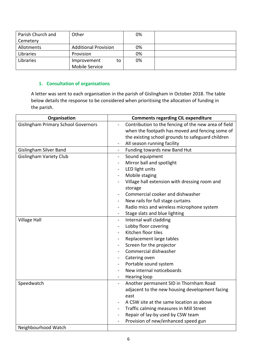| Parish Church and | Other                       | 0% |  |
|-------------------|-----------------------------|----|--|
| Cemetery          |                             |    |  |
| Allotments        | <b>Additional Provision</b> | 0% |  |
| Libraries         | Provision                   | 0% |  |
| Libraries         | Improvement<br>to           | 0% |  |
|                   | Mobile Service              |    |  |

### **1. Consultation of organisations**

A letter was sent to each organisation in the parish of Gislingham in October 2018. The table below details the response to be considered when prioritising the allocation of funding in the parish.

| Organisation                               | <b>Comments regarding CIL expenditure</b>                |
|--------------------------------------------|----------------------------------------------------------|
| <b>Gislingham Primary School Governors</b> | Contribution to the fencing of the new area of field     |
|                                            | when the footpath has moved and fencing some of          |
|                                            | the existing school grounds to safeguard children        |
|                                            | All season running facility                              |
| <b>Gislingham Silver Band</b>              | Funding towards new Band Hut<br>$\blacksquare$           |
| <b>Gislingham Variety Club</b>             | Sound equipment                                          |
|                                            | Mirror ball and spotlight                                |
|                                            | LED light units                                          |
|                                            | Mobile staging                                           |
|                                            | Village hall extension with dressing room and            |
|                                            | storage                                                  |
|                                            | Commercial cooker and dishwasher                         |
|                                            | New rails for full stage curtains                        |
|                                            | Radio mics and wireless microphone system                |
|                                            | Stage slats and blue lighting                            |
| <b>Village Hall</b>                        | Internal wall cladding<br>$\overline{\phantom{0}}$       |
|                                            | Lobby floor covering                                     |
|                                            | Kitchen floor tiles                                      |
|                                            | Replacement large tables                                 |
|                                            | Screen for the projector                                 |
|                                            | Commercial dishwasher                                    |
|                                            | Catering oven                                            |
|                                            | Portable sound system                                    |
|                                            | New internal noticeboards                                |
|                                            | Hearing loop<br>$\blacksquare$                           |
| Speedwatch                                 | Another permanent SID in Thornham Road<br>$\blacksquare$ |
|                                            | adjacent to the new housing development facing           |
|                                            | east                                                     |
|                                            | A CSW site at the same location as above                 |
|                                            | Traffic calming measures in Mill Street                  |
|                                            | Repair of lay-by used by CSW team<br>$\overline{a}$      |
|                                            | Provision of new/enhanced speed gun                      |
| Neighbourhood Watch                        |                                                          |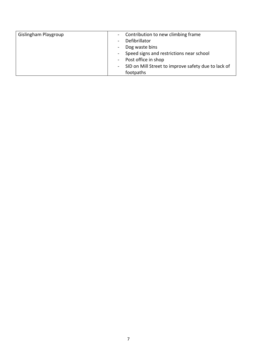| Gislingham Playgroup | Contribution to new climbing frame<br>$\sim$        |
|----------------------|-----------------------------------------------------|
|                      | Defibrillator                                       |
|                      | Dog waste bins<br>$\blacksquare$                    |
|                      | Speed signs and restrictions near school            |
|                      | - Post office in shop                               |
|                      | SID on Mill Street to improve safety due to lack of |
|                      | footpaths                                           |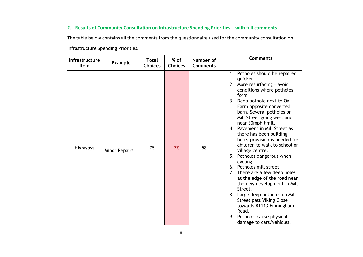#### **2. Results of Community Consultation on Infrastructure Spending Priorities – with full comments**

The table below contains all the comments from the questionnaire used for the community consultation on Infrastructure Spending Priorities.

| Infrastructure<br>Item | <b>Example</b>       | <b>Total</b><br><b>Choices</b> | $%$ of<br><b>Choices</b> | Number of<br><b>Comments</b> | <b>Comments</b>                                                                                                                                                                                                                                                                                                                                                                                                                                                                                                                                                                                                                                                                                                                                               |
|------------------------|----------------------|--------------------------------|--------------------------|------------------------------|---------------------------------------------------------------------------------------------------------------------------------------------------------------------------------------------------------------------------------------------------------------------------------------------------------------------------------------------------------------------------------------------------------------------------------------------------------------------------------------------------------------------------------------------------------------------------------------------------------------------------------------------------------------------------------------------------------------------------------------------------------------|
| <b>Highways</b>        | <b>Minor Repairs</b> | 75                             | 7%                       | 58                           | 1. Potholes should be repaired<br>quicker<br>2. More resurfacing - avoid<br>conditions where potholes<br>form<br>3. Deep pothole next to Oak<br>Farm opposite converted<br>barn. Several potholes on<br>Mill Street going west and<br>near 30mph limit.<br>4. Pavement in Mill Street as<br>there has been building<br>here, provision is needed for<br>children to walk to school or<br>village centre.<br>5. Potholes dangerous when<br>cycling.<br>6. Potholes mill street.<br>7. There are a few deep holes<br>at the edge of the road near<br>the new development in Mill<br>Street.<br>8. Large deep potholes on Mill<br><b>Street past Viking Close</b><br>towards B1113 Finningham<br>Road.<br>9. Potholes cause physical<br>damage to cars/vehicles. |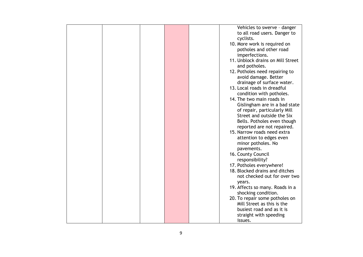|  |  | Vehicles to swerve - danger       |
|--|--|-----------------------------------|
|  |  | to all road users. Danger to      |
|  |  | cyclists.                         |
|  |  | 10. More work is required on      |
|  |  | potholes and other road           |
|  |  | imperfections.                    |
|  |  | 11. Unblock drains on Mill Street |
|  |  |                                   |
|  |  | and potholes.                     |
|  |  | 12. Potholes need repairing to    |
|  |  | avoid damage. Better              |
|  |  | drainage of surface water.        |
|  |  | 13. Local roads in dreadful       |
|  |  | condition with potholes.          |
|  |  | 14. The two main roads in         |
|  |  | Gislingham are in a bad state     |
|  |  | of repair, particularly Mill      |
|  |  |                                   |
|  |  | Street and outside the Six        |
|  |  | Bells. Potholes even though       |
|  |  | reported are not repaired.        |
|  |  | 15. Narrow roads need extra       |
|  |  | attention to edges even           |
|  |  | minor potholes. No                |
|  |  | pavements.                        |
|  |  | 16. County Council                |
|  |  | responsibility?                   |
|  |  | 17. Potholes everywhere!          |
|  |  | 18. Blocked drains and ditches    |
|  |  |                                   |
|  |  | not checked out for over two      |
|  |  | years.                            |
|  |  | 19. Affects so many. Roads in a   |
|  |  | shocking condition.               |
|  |  | 20. To repair some potholes on    |
|  |  | Mill Street as this is the        |
|  |  | busiest road and as it is         |
|  |  | straight with speeding            |
|  |  | issues.                           |
|  |  |                                   |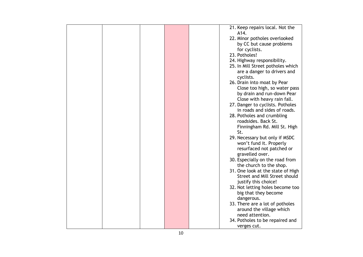|  |  | 21. Keep repairs local. Not the                                                                                                                                                                                        |
|--|--|------------------------------------------------------------------------------------------------------------------------------------------------------------------------------------------------------------------------|
|  |  | A14.                                                                                                                                                                                                                   |
|  |  | 22. Minor potholes overlooked                                                                                                                                                                                          |
|  |  | by CC but cause problems                                                                                                                                                                                               |
|  |  |                                                                                                                                                                                                                        |
|  |  | for cyclists.                                                                                                                                                                                                          |
|  |  | 23. Potholes!                                                                                                                                                                                                          |
|  |  | 24. Highway responsibility.                                                                                                                                                                                            |
|  |  | 25. In Mill Street potholes which                                                                                                                                                                                      |
|  |  | are a danger to drivers and                                                                                                                                                                                            |
|  |  | cyclists.                                                                                                                                                                                                              |
|  |  | 26. Drain into moat by Pear                                                                                                                                                                                            |
|  |  |                                                                                                                                                                                                                        |
|  |  | Close too high, so water pass                                                                                                                                                                                          |
|  |  | by drain and run-down Pear                                                                                                                                                                                             |
|  |  | Close with heavy rain fall.                                                                                                                                                                                            |
|  |  | 27. Danger to cyclists. Potholes                                                                                                                                                                                       |
|  |  | in roads and sides of roads.                                                                                                                                                                                           |
|  |  | 28. Potholes and crumbling                                                                                                                                                                                             |
|  |  | roadsides. Back St.                                                                                                                                                                                                    |
|  |  | Finningham Rd. Mill St. High                                                                                                                                                                                           |
|  |  | St.                                                                                                                                                                                                                    |
|  |  |                                                                                                                                                                                                                        |
|  |  | 29. Necessary but only if MSDC                                                                                                                                                                                         |
|  |  | won't fund it. Properly                                                                                                                                                                                                |
|  |  | resurfaced not patched or                                                                                                                                                                                              |
|  |  | gravelled over.                                                                                                                                                                                                        |
|  |  | 30. Especially on the road from                                                                                                                                                                                        |
|  |  | the church to the shop.                                                                                                                                                                                                |
|  |  |                                                                                                                                                                                                                        |
|  |  |                                                                                                                                                                                                                        |
|  |  |                                                                                                                                                                                                                        |
|  |  |                                                                                                                                                                                                                        |
|  |  |                                                                                                                                                                                                                        |
|  |  |                                                                                                                                                                                                                        |
|  |  |                                                                                                                                                                                                                        |
|  |  | 33. There are a lot of potholes                                                                                                                                                                                        |
|  |  | around the village which                                                                                                                                                                                               |
|  |  | need attention.                                                                                                                                                                                                        |
|  |  |                                                                                                                                                                                                                        |
|  |  |                                                                                                                                                                                                                        |
|  |  | 31. One look at the state of High<br>Street and Mill Street should<br>justify this choice!<br>32. Not letting holes become too<br>big that they become<br>dangerous.<br>34. Potholes to be repaired and<br>verges cut. |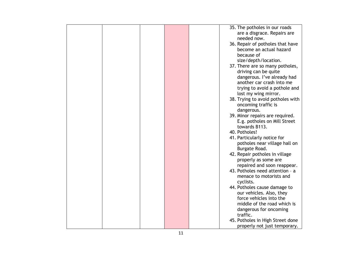|  |  | 35. The potholes in our roads     |
|--|--|-----------------------------------|
|  |  | are a disgrace. Repairs are       |
|  |  |                                   |
|  |  | needed now.                       |
|  |  | 36. Repair of potholes that have  |
|  |  | become an actual hazard           |
|  |  |                                   |
|  |  | because of                        |
|  |  | size/depth/location.              |
|  |  | 37. There are so many potholes,   |
|  |  | driving can be quite              |
|  |  |                                   |
|  |  | dangerous. I've already had       |
|  |  | another car crash into me         |
|  |  | trying to avoid a pothole and     |
|  |  |                                   |
|  |  | lost my wing mirror.              |
|  |  | 38. Trying to avoid potholes with |
|  |  | oncoming traffic is               |
|  |  | dangerous.                        |
|  |  |                                   |
|  |  | 39. Minor repairs are required.   |
|  |  | E.g. potholes on Mill Street      |
|  |  | towards B113.                     |
|  |  | 40. Potholes!                     |
|  |  |                                   |
|  |  | 41. Particularly notice for       |
|  |  | potholes near village hall on     |
|  |  | Burgate Road.                     |
|  |  | 42. Repair potholes in village    |
|  |  |                                   |
|  |  | properly as some are              |
|  |  | repaired and soon reappear.       |
|  |  | 43. Potholes need attention - a   |
|  |  |                                   |
|  |  | menace to motorists and           |
|  |  | cyclists.                         |
|  |  | 44. Potholes cause damage to      |
|  |  | our vehicles. Also, they          |
|  |  |                                   |
|  |  | force vehicles into the           |
|  |  | middle of the road which is       |
|  |  | dangerous for oncoming            |
|  |  | traffic.                          |
|  |  |                                   |
|  |  | 45. Potholes in High Street done  |
|  |  | properly not just temporary.      |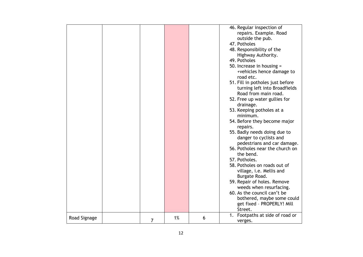|              |   |    |   | 46. Regular inspection of<br>repairs. Example. Road<br>outside the pub.<br>47. Potholes<br>48. Responsibility of the<br>Highway Authority.<br>49. Potholes<br>50. Increase in housing =<br>+vehicles hence damage to<br>road etc.<br>51. Fill in potholes just before<br>turning left into Broadfields<br>Road from main road.<br>52. Free up water gullies for<br>drainage.<br>53. Keeping potholes at a<br>minimum.<br>54. Before they become major<br>repairs.<br>55. Badly needs doing due to<br>danger to cyclists and<br>pedestrians and car damage.<br>56. Potholes near the church on<br>the bend.<br>57. Potholes.<br>58. Potholes on roads out of<br>village, i.e. Mellis and<br>Burgate Road.<br>59. Repair of holes. Remove<br>weeds when resurfacing. |
|--------------|---|----|---|--------------------------------------------------------------------------------------------------------------------------------------------------------------------------------------------------------------------------------------------------------------------------------------------------------------------------------------------------------------------------------------------------------------------------------------------------------------------------------------------------------------------------------------------------------------------------------------------------------------------------------------------------------------------------------------------------------------------------------------------------------------------|
|              |   |    |   | 60. As the council can't be<br>bothered, maybe some could<br>get fixed - PROPERLY! Mill<br>Street.                                                                                                                                                                                                                                                                                                                                                                                                                                                                                                                                                                                                                                                                 |
| Road Signage | 7 | 1% | 6 | 1. Footpaths at side of road or<br>verges.                                                                                                                                                                                                                                                                                                                                                                                                                                                                                                                                                                                                                                                                                                                         |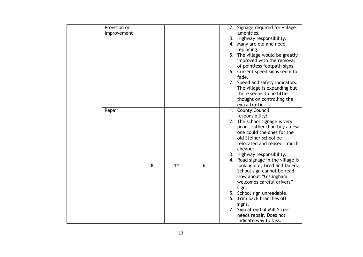| Provision or |   |    |   | 2. Signage required for village   |
|--------------|---|----|---|-----------------------------------|
| Improvement  |   |    |   | amenities.                        |
|              |   |    |   | 3. Highway responsibility.        |
|              |   |    |   | 4. Many are old and need          |
|              |   |    |   | replacing.                        |
|              |   |    |   | 5. The village would be greatly   |
|              |   |    |   | improved with the removal         |
|              |   |    |   | of pointless footpath signs.      |
|              |   |    |   | 6. Current speed signs seem to    |
|              |   |    |   | fade.                             |
|              |   |    |   | 7. Speed and safety indicators.   |
|              |   |    |   | The village is expanding but      |
|              |   |    |   | there seems to be little          |
|              |   |    |   | thought on controlling the        |
|              |   |    |   | extra traffic.                    |
|              |   |    |   |                                   |
| Repair       |   |    |   | 1. County Council                 |
|              |   |    |   | responsibility?                   |
|              |   |    |   | 2. The school signage is very     |
|              |   |    |   | poor - rather than buy a new      |
|              |   |    |   | one could the ones for the        |
|              |   |    |   | old Steiner school be             |
|              |   |    |   | relocated and reused - much       |
|              |   |    |   | cheaper.                          |
|              |   |    |   | 3. Highway responsibility.        |
|              |   |    |   | 4. Road signage in the village is |
|              | 8 | 1% | 6 | looking old, tired and faded.     |
|              |   |    |   | School sign cannot be read.       |
|              |   |    |   | How about "Gislingham             |
|              |   |    |   | welcomes careful drivers"         |
|              |   |    |   | sign.                             |
|              |   |    |   | 5. School sign unreadable.        |
|              |   |    |   | 6. Trim back branches off         |
|              |   |    |   | signs.                            |
|              |   |    |   | 7. Sign at end of Mill Street     |
|              |   |    |   | needs repair. Does not            |
|              |   |    |   | indicate way to Diss.             |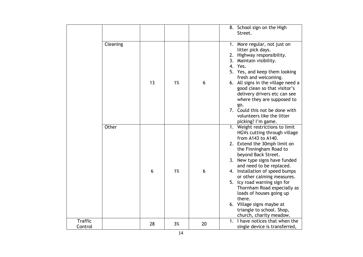|                           |          |    |    |    | 8. School sign on the High<br>Street.                                                                                                                                                                                                                                                                                                                                                                                                                                                         |
|---------------------------|----------|----|----|----|-----------------------------------------------------------------------------------------------------------------------------------------------------------------------------------------------------------------------------------------------------------------------------------------------------------------------------------------------------------------------------------------------------------------------------------------------------------------------------------------------|
|                           | Cleaning | 13 | 1% | 6  | 1. More regular, not just on<br>litter pick days.<br>2. Highway responsibility.<br>3. Maintain visibility.<br>4.<br>Yes.<br>5. Yes, and keep them looking<br>fresh and welcoming.<br>6. All signs in the village need a<br>good clean so that visitor's<br>delivery drivers etc can see<br>where they are supposed to<br>go.<br>7. Could this not be done with<br>volunteers like the litter<br>picking? I'm game.                                                                            |
|                           | Other    | 6  | 1% | 6  | 1. Weight restrictions to limit<br>HGVs cutting through village<br>from A143 to A140.<br>2. Extend the 30mph limit on<br>the Finningham Road to<br>beyond Back Street.<br>3. New type signs have funded<br>and need to be replaced.<br>4. Installation of speed bumps<br>or other calming measures.<br>5. Icy road warning sign for<br>Thornham Road especially as<br>loads of houses going up<br>there.<br>6. Village signs maybe at<br>triangle to school. Shop,<br>church, charity meadow. |
| <b>Traffic</b><br>Control |          | 28 | 3% | 20 | 1. I have notices that when the<br>single device is transferred,                                                                                                                                                                                                                                                                                                                                                                                                                              |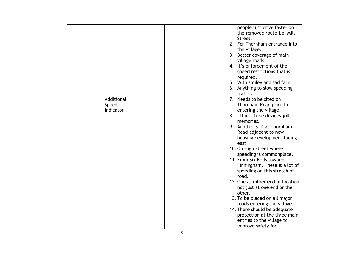|                     |  |  | people just drive faster on<br>the removed route i.e. Mill<br>Street.<br>2. For Thornham entrance into<br>the village. |
|---------------------|--|--|------------------------------------------------------------------------------------------------------------------------|
|                     |  |  | 3. Better coverage of main<br>village roads.                                                                           |
|                     |  |  | 4. It's enforcement of the<br>speed restrictions that is<br>required.                                                  |
|                     |  |  | 5. With smiley and sad face.                                                                                           |
|                     |  |  | 6. Anything to slow speeding<br>traffic.                                                                               |
| Additional<br>Speed |  |  | 7. Needs to be sited on<br>Thornham Road prior to                                                                      |
| Indicator           |  |  | entering the village.<br>8. I think these devices jolt<br>memories.                                                    |
|                     |  |  | 9. Another S ID at Thornham<br>Road adjacent to new<br>housing development facing<br>east.                             |
|                     |  |  | 10. On High Street where<br>speeding is commonplace.                                                                   |
|                     |  |  | 11. From Six Bells towards                                                                                             |
|                     |  |  | Finningham. These is a lot of<br>speeding on this stretch of<br>road.                                                  |
|                     |  |  | 12. One at either end of location<br>not just at one end or the<br>other.                                              |
|                     |  |  | 13. To be placed on all major<br>roads entering the village.                                                           |
|                     |  |  | 14. There should be adequate                                                                                           |
|                     |  |  | protection at the three main                                                                                           |
|                     |  |  | entries to the village to                                                                                              |
|                     |  |  | improve safety for                                                                                                     |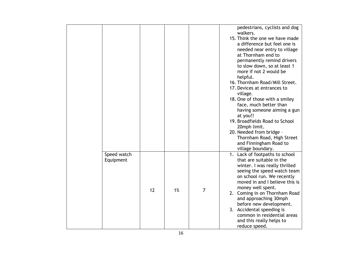|                          |    |    |   | pedestrians, cyclists and dog<br>walkers.<br>15. Think the one we have made<br>a difference but feel one is<br>needed near entry to village<br>at Thornham end to<br>permanently remind drivers<br>to slow down, so at least 1<br>more if not 2 would be<br>helpful.<br>16. Thornham Road/Mill Street.<br>17. Devices at entrances to<br>village.<br>18. One of those with a smiley<br>face, much better than<br>having someone aiming a gun<br>at you!!<br>19. Broadfields Road to School<br>20mph limit.<br>20. Needed from bridge -<br>Thornham Road, High Street<br>and Finningham Road to<br>village boundary. |
|--------------------------|----|----|---|---------------------------------------------------------------------------------------------------------------------------------------------------------------------------------------------------------------------------------------------------------------------------------------------------------------------------------------------------------------------------------------------------------------------------------------------------------------------------------------------------------------------------------------------------------------------------------------------------------------------|
| Speed watch<br>Equipment | 12 | 1% | 7 | 1. Lack of footpaths to school<br>that are suitable in the<br>winter. I was really thrilled<br>seeing the speed watch team<br>on school run. We recently<br>moved in and I believe this is<br>money well spent.<br>2. Coming in on Thornham Road<br>and approaching 30mph<br>before new development.<br>3. Accidental speeding is<br>common in residential areas<br>and this really helps to<br>reduce speed.                                                                                                                                                                                                       |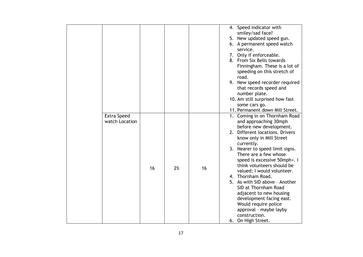|                    |    |    |    | 4. Speed indicator with         |
|--------------------|----|----|----|---------------------------------|
|                    |    |    |    | smiley/sad face?                |
|                    |    |    |    | 5. New updated speed gun.       |
|                    |    |    |    | 6. A permanent speed watch      |
|                    |    |    |    | service.                        |
|                    |    |    |    | 7. Only if enforceable.         |
|                    |    |    |    | 8. From Six Bells towards       |
|                    |    |    |    | Finningham. These is a lot of   |
|                    |    |    |    | speeding on this stretch of     |
|                    |    |    |    | road.                           |
|                    |    |    |    | 9. New speed recorder required  |
|                    |    |    |    | that records speed and          |
|                    |    |    |    | number plate.                   |
|                    |    |    |    | 10. Am still surprised how fast |
|                    |    |    |    | some cars go.                   |
|                    |    |    |    | 11. Permanent down Mill Street. |
| <b>Extra Speed</b> |    |    |    | 1. Coming in on Thornham Road   |
| watch Location     |    |    |    | and approaching 30mph           |
|                    |    |    |    | before new development.         |
|                    |    |    |    | 2. Different locations. Drivers |
|                    |    |    |    | know only in Mill Street        |
|                    |    |    |    | currently.                      |
|                    |    |    |    | 3. Nearer to speed limit signs. |
|                    |    |    |    | There are a few whose           |
|                    |    |    |    | speed is excessive 50mph+. I    |
|                    | 16 | 2% | 16 | think volunteers should be      |
|                    |    |    |    | valued; I would volunteer.      |
|                    |    |    |    | 4. Thornham Road.               |
|                    |    |    |    | 5. As with SID above - Another  |
|                    |    |    |    | SID at Thornham Road            |
|                    |    |    |    | adjacent to new housing         |
|                    |    |    |    | development facing east.        |
|                    |    |    |    | Would require police            |
|                    |    |    |    | approval - maybe layby          |
|                    |    |    |    | construction.                   |
|                    |    |    |    | 6. On High Street.              |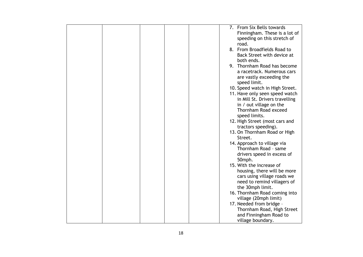|  |  | 7. From Six Bells towards       |
|--|--|---------------------------------|
|  |  |                                 |
|  |  | Finningham. These is a lot of   |
|  |  | speeding on this stretch of     |
|  |  | road.                           |
|  |  | 8. From Broadfields Road to     |
|  |  | Back Street with device at      |
|  |  | both ends.                      |
|  |  | 9. Thornham Road has become     |
|  |  | a racetrack. Numerous cars      |
|  |  | are vastly exceeding the        |
|  |  | speed limit.                    |
|  |  |                                 |
|  |  | 10. Speed watch in High Street. |
|  |  | 11. Have only seen speed watch  |
|  |  | in Mill St. Drivers travelling  |
|  |  | in / out village on the         |
|  |  | Thornham Road exceed            |
|  |  | speed limits.                   |
|  |  | 12. High Street (most cars and  |
|  |  | tractors speeding).             |
|  |  | 13. On Thornham Road or High    |
|  |  | Street.                         |
|  |  | 14. Approach to village via     |
|  |  | Thornham Road - same            |
|  |  | drivers speed in excess of      |
|  |  |                                 |
|  |  | 50mph.                          |
|  |  | 15. With the increase of        |
|  |  | housing, there will be more     |
|  |  | cars using village roads we     |
|  |  | need to remind villagers of     |
|  |  | the 30mph limit.                |
|  |  | 16. Thornham Road coming into   |
|  |  | village (20mph limit)           |
|  |  | 17. Needed from bridge -        |
|  |  | Thornham Road, High Street      |
|  |  | and Finningham Road to          |
|  |  | village boundary.               |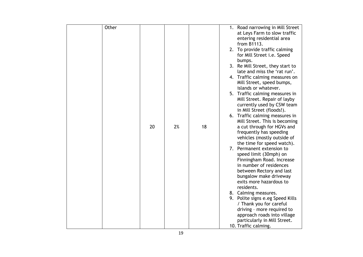| Other |    |    |    | 1. Road narrowing in Mill Street                            |
|-------|----|----|----|-------------------------------------------------------------|
|       |    |    |    | at Leys Farm to slow traffic                                |
|       |    |    |    | entering residential area                                   |
|       |    |    |    | from B1113.                                                 |
|       |    |    |    | 2. To provide traffic calming                               |
|       |    |    |    | for Mill Street <i>i.e.</i> Speed                           |
|       |    |    |    | bumps.                                                      |
|       |    |    |    | 3. Re Mill Street, they start to                            |
|       |    |    |    | late and miss the 'rat run'.                                |
|       |    |    |    | 4. Traffic calming measures on                              |
|       |    |    |    | Mill Street, speed bumps,                                   |
|       |    |    |    | islands or whatever.                                        |
|       |    |    |    | 5. Traffic calming measures in                              |
|       |    |    |    | Mill Street. Repair of layby                                |
|       |    |    |    | currently used by CSW team                                  |
|       |    |    |    | in Mill Street (floods!).                                   |
|       |    |    |    | 6. Traffic calming measures in                              |
|       | 20 | 2% | 18 | Mill Street. This is becoming                               |
|       |    |    |    | a cut through for HGVs and<br>frequently has speeding       |
|       |    |    |    | vehicles (mostly outside of                                 |
|       |    |    |    | the time for speed watch).                                  |
|       |    |    |    | 7. Permanent extension to                                   |
|       |    |    |    | speed limit (30mph) on                                      |
|       |    |    |    | Finningham Road. Increase                                   |
|       |    |    |    | in number of residences                                     |
|       |    |    |    | between Rectory and last                                    |
|       |    |    |    | bungalow make driveway                                      |
|       |    |    |    | exits more hazardous to                                     |
|       |    |    |    | residents.                                                  |
|       |    |    |    | 8. Calming measures.                                        |
|       |    |    |    | 9. Polite signs e.eg Speed Kills                            |
|       |    |    |    | / Thank you for careful                                     |
|       |    |    |    | driving - more required to                                  |
|       |    |    |    |                                                             |
|       |    |    |    | approach roads into village<br>particularly in Mill Street. |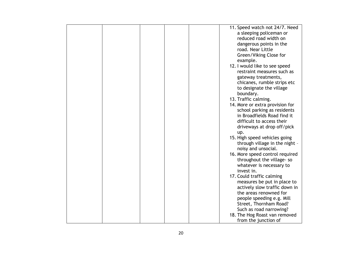|  |  | 11. Speed watch not 24/7. Need  |
|--|--|---------------------------------|
|  |  |                                 |
|  |  | a sleeping policeman or         |
|  |  | reduced road width on           |
|  |  | dangerous points in the         |
|  |  | road. Near Little               |
|  |  | Green/Viking Close for          |
|  |  | example.                        |
|  |  | 12. I would like to see speed   |
|  |  | restraint measures such as      |
|  |  | gateway treatments,             |
|  |  |                                 |
|  |  | chicanes, rumble strips etc     |
|  |  | to designate the village        |
|  |  | boundary.                       |
|  |  | 13. Traffic calming.            |
|  |  | 14. More or extra provision for |
|  |  | school parking as residents     |
|  |  | in Broadfields Road find it     |
|  |  | difficult to access their       |
|  |  | driveways at drop off/pick      |
|  |  | up.                             |
|  |  | 15. High speed vehicles going   |
|  |  |                                 |
|  |  | through village in the night -  |
|  |  | noisy and unsocial.             |
|  |  | 16. More speed control required |
|  |  | throughout the village-so       |
|  |  | whatever is necessary to        |
|  |  | invest in.                      |
|  |  | 17. Could traffic calming       |
|  |  | measures be put in place to     |
|  |  | actively slow traffic down in   |
|  |  | the areas renowned for          |
|  |  | people speeding e.g. Mill       |
|  |  | Street, Thornham Road?          |
|  |  |                                 |
|  |  | Such as road narrowing?         |
|  |  | 18. The Hog Roast van removed   |
|  |  | from the junction of            |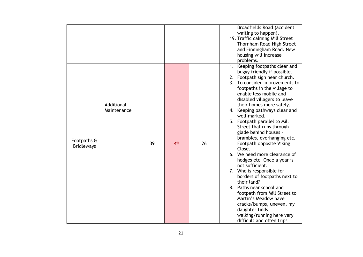|                                  |                           |    |    |    | Broadfields Road (accident<br>waiting to happen).<br>19. Traffic calming Mill Street<br>Thornham Road High Street<br>and Finningham Road. New<br>housing will increase<br>problems.                                                                                                                                                                                                                                                                                                                                                                                                                                                                                                                                                                                                                                     |
|----------------------------------|---------------------------|----|----|----|-------------------------------------------------------------------------------------------------------------------------------------------------------------------------------------------------------------------------------------------------------------------------------------------------------------------------------------------------------------------------------------------------------------------------------------------------------------------------------------------------------------------------------------------------------------------------------------------------------------------------------------------------------------------------------------------------------------------------------------------------------------------------------------------------------------------------|
| Footpaths &<br><b>Bridleways</b> | Additional<br>Maintenance | 39 | 4% | 26 | 1. Keeping footpaths clear and<br>buggy friendly if possible.<br>2. Footpath sign near church.<br>3. To consider improvements to<br>footpaths in the village to<br>enable less mobile and<br>disabled villagers to leave<br>their homes more safely.<br>4. Keeping pathways clear and<br>well-marked.<br>5. Footpath parallel to Mill<br>Street that runs through<br>glade behind houses -<br>brambles, overhanging etc.<br>Footpath opposite Viking<br>Close.<br>6. We need more clearance of<br>hedges etc. Once a year is<br>not sufficient.<br>7. Who is responsible for<br>borders of footpaths next to<br>their land?<br>8. Paths near school and<br>footpath from Mill Street to<br>Martin's Meadow have<br>cracks/bumps, uneven, my<br>daughter finds<br>walking/running here very<br>difficult and often trips |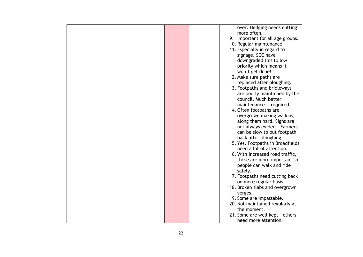|  |  | over. Hedging needs cutting       |
|--|--|-----------------------------------|
|  |  | more often.                       |
|  |  | 9. Important for all age groups.  |
|  |  | 10. Regular maintenance.          |
|  |  | 11. Especially in regard to       |
|  |  | signage. SCC have                 |
|  |  | downgraded this to low            |
|  |  |                                   |
|  |  | priority which means it           |
|  |  | won't get done!                   |
|  |  | 12. Make sure paths are           |
|  |  | replaced after ploughing.         |
|  |  | 13. Footpaths and bridleways      |
|  |  | are poorly maintained by the      |
|  |  | council. Much better              |
|  |  | maintenance is required.          |
|  |  | 14. Often footpaths are           |
|  |  | overgrown making walking          |
|  |  | along them hard. Signs are        |
|  |  | not always evident. Farmers       |
|  |  |                                   |
|  |  | can be slow to put footpath       |
|  |  | back after ploughing.             |
|  |  | 15. Yes. Footpaths in Broadfields |
|  |  | need a lot of attention.          |
|  |  | 16. With increased road traffic,  |
|  |  | these are more important so       |
|  |  | people can walk and ride          |
|  |  | safely.                           |
|  |  | 17. Footpaths need cutting back   |
|  |  | on more regular basis.            |
|  |  | 18. Broken slabs and overgrown    |
|  |  | verges.                           |
|  |  | 19. Some are impassable.          |
|  |  | 20. Not maintained regularly at   |
|  |  | the moment.                       |
|  |  |                                   |
|  |  | 21. Some are well kept - others   |
|  |  | need more attention.              |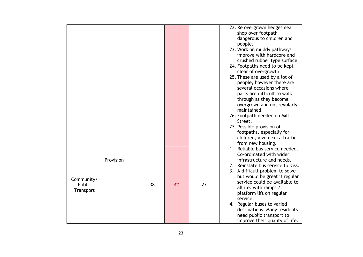|                                   |           |    |    |    | 22. Re overgrown hedges near<br>shop over footpath<br>dangerous to children and<br>people.<br>23. Work on muddy pathways<br>improve with hardcore and<br>crushed rubber type surface.<br>24. Footpaths need to be kept<br>clear of overgrowth.<br>25. These are used by a lot of<br>people, however there are<br>several occasions where<br>parts are difficult to walk<br>through as they become<br>overgrown and not regularly<br>maintained.<br>26. Footpath needed on Mill<br>Street.<br>27. Possible provision of<br>footpaths, especially for<br>children, given extra traffic |
|-----------------------------------|-----------|----|----|----|--------------------------------------------------------------------------------------------------------------------------------------------------------------------------------------------------------------------------------------------------------------------------------------------------------------------------------------------------------------------------------------------------------------------------------------------------------------------------------------------------------------------------------------------------------------------------------------|
| Community/<br>Public<br>Transport | Provision | 38 | 4% | 27 | from new housing.<br>1. Reliable bus service needed.<br>Co-ordinated with wider<br>infrastructure and needs.<br>2. Reinstate bus service to Diss.<br>3. A difficult problem to solve<br>but would be great if regular<br>service could be available to<br>all i.e. with ramps /<br>platform lift on regular<br>service.<br>4. Regular buses to varied<br>destinations. Many residents<br>need public transport to<br>improve their quality of life.                                                                                                                                  |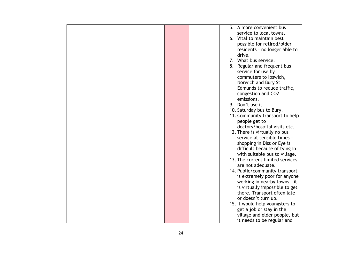|  | 5.<br>A more convenient bus      |
|--|----------------------------------|
|  | service to local towns.          |
|  | 6. Vital to maintain best        |
|  | possible for retired/older       |
|  | residents - no longer able to    |
|  | drive.                           |
|  |                                  |
|  | 7. What bus service.             |
|  | 8. Regular and frequent bus      |
|  | service for use by               |
|  | commuters to Ipswich,            |
|  | Norwich and Bury St              |
|  | Edmunds to reduce traffic,       |
|  | congestion and CO2               |
|  |                                  |
|  | emissions.                       |
|  | 9. Don't use it.                 |
|  | 10. Saturday bus to Bury.        |
|  | 11. Community transport to help  |
|  | people get to                    |
|  | doctors/hospital visits etc.     |
|  | 12. There is virtually no bus    |
|  | service at sensible times -      |
|  |                                  |
|  | shopping in Diss or Eye is       |
|  | difficult because of tying in    |
|  | with suitable bus to village.    |
|  | 13. The current limited services |
|  | are not adequate.                |
|  | 14. Public/community transport   |
|  | is extremely poor for anyone     |
|  | working in nearby towns - it     |
|  | is virtually impossible to get   |
|  |                                  |
|  | there. Transport often late      |
|  | or doesn't turn up.              |
|  | 15. It would help youngsters to  |
|  | get a job or stay in the         |
|  | village and older people, but    |
|  | it needs to be regular and       |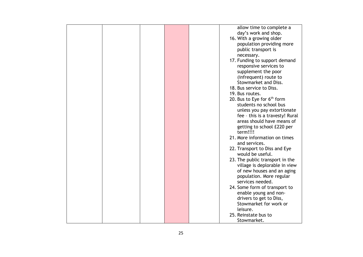|  |  | allow time to complete a        |
|--|--|---------------------------------|
|  |  | day's work and shop.            |
|  |  | 16. With a growing older        |
|  |  | population providing more       |
|  |  | public transport is             |
|  |  | necessary.                      |
|  |  | 17. Funding to support demand   |
|  |  |                                 |
|  |  | responsive services to          |
|  |  | supplement the poor             |
|  |  | (infrequent) route to           |
|  |  | Stowmarket and Diss.            |
|  |  | 18. Bus service to Diss.        |
|  |  | 19. Bus routes.                 |
|  |  | 20. Bus to Eye for $6th$ form   |
|  |  | students no school bus          |
|  |  | unless you pay extortionate     |
|  |  | fee - this is a travesty! Rural |
|  |  | areas should have means of      |
|  |  |                                 |
|  |  | getting to school £220 per      |
|  |  | term!!!!                        |
|  |  | 21. More information on times   |
|  |  | and services.                   |
|  |  | 22. Transport to Diss and Eye   |
|  |  | would be useful.                |
|  |  | 23. The public transport in the |
|  |  | village is deplorable in view   |
|  |  | of new houses and an aging      |
|  |  | population. More regular        |
|  |  | services needed.                |
|  |  | 24. Some form of transport to   |
|  |  | enable young and non-           |
|  |  |                                 |
|  |  | drivers to get to Diss,         |
|  |  | Stowmarket for work or          |
|  |  | leisure.                        |
|  |  | 25. Reinstate bus to            |
|  |  | Stowmarket.                     |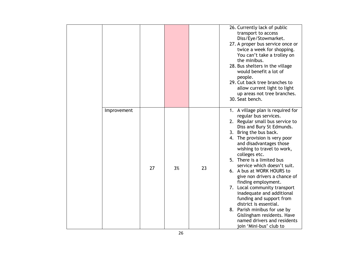|             |    |    |    | 26. Currently lack of public<br>transport to access<br>Diss/Eye/Stowmarket.<br>27. A proper bus service once or<br>twice a week for shopping.<br>You can't take a trolley on<br>the minibus.<br>28. Bus shelters in the village<br>would benefit a lot of<br>people.<br>29. Cut back tree branches to<br>allow current light to light<br>up areas not tree branches.<br>30. Seat bench.                                                                                                                                                                                                                                                                    |
|-------------|----|----|----|------------------------------------------------------------------------------------------------------------------------------------------------------------------------------------------------------------------------------------------------------------------------------------------------------------------------------------------------------------------------------------------------------------------------------------------------------------------------------------------------------------------------------------------------------------------------------------------------------------------------------------------------------------|
| Improvement | 27 | 3% | 23 | 1. A village plan is required for<br>regular bus services.<br>2. Regular small bus service to<br>Diss and Bury St Edmunds.<br>3. Bring the bus back.<br>4. The provision is very poor<br>and disadvantages those<br>wishing to travel to work,<br>colleges etc.<br>5. There is a limited bus<br>service which doesn't suit.<br>6. A bus at WORK HOURS to<br>give non drivers a chance of<br>finding employment.<br>7. Local community transport<br>inadequate and additional<br>funding and support from<br>district is essential.<br>8. Parish minibus for use by<br>Gislingham residents. Have<br>named drivers and residents<br>join 'Mini-bus' club to |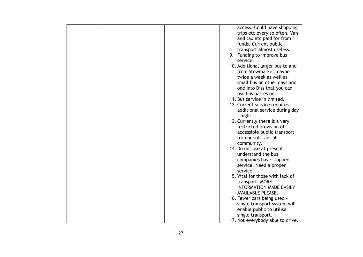|  |  | access. Could have shopping      |
|--|--|----------------------------------|
|  |  | trips etc every so often. Van    |
|  |  | and tax etc paid for from        |
|  |  | funds. Current public            |
|  |  | transport almost useless.        |
|  |  | 9. Funding to improve bus        |
|  |  | service.                         |
|  |  |                                  |
|  |  | 10. Additional larger bus to and |
|  |  | from Stowmarket maybe            |
|  |  | twice a week as well as          |
|  |  | small bus on other days and      |
|  |  | one into Diss that you can       |
|  |  | use bus passes on.               |
|  |  | 11. Bus service in limited.      |
|  |  | 12. Current service requires     |
|  |  | additional service during day    |
|  |  | - night.                         |
|  |  | 13. Currently there is a very    |
|  |  | restricted provision of          |
|  |  |                                  |
|  |  | accessible public transport      |
|  |  | for our substantial              |
|  |  | community.                       |
|  |  | 14. Do not use at present,       |
|  |  | understand the bus               |
|  |  | companies have stopped           |
|  |  | service. Need a proper           |
|  |  | service.                         |
|  |  | 15. Vital for those with lack of |
|  |  | transport. MORE                  |
|  |  | <b>INFORMATION MADE EASILY</b>   |
|  |  | <b>AVAILABLE PLEASE.</b>         |
|  |  | 16. Fewer cars being used -      |
|  |  | single transport system will     |
|  |  |                                  |
|  |  | enable public to utilise         |
|  |  | single transport.                |
|  |  | 17. Not everybody able to drive. |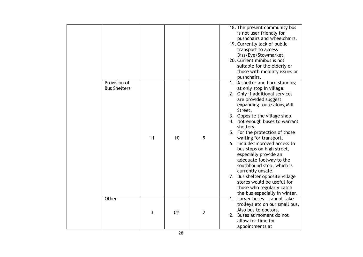|                                     |    |    |                | 18. The present community bus<br>is not user friendly for<br>pushchairs and wheelchairs.<br>19. Currently lack of public<br>transport to access<br>Diss/Eye/Stowmarket.<br>20. Current minibus is not<br>suitable for the elderly or<br>those with mobility issues or<br>pushchairs.                                                                                                                                                                                                                                                                                                                         |
|-------------------------------------|----|----|----------------|--------------------------------------------------------------------------------------------------------------------------------------------------------------------------------------------------------------------------------------------------------------------------------------------------------------------------------------------------------------------------------------------------------------------------------------------------------------------------------------------------------------------------------------------------------------------------------------------------------------|
| Provision of<br><b>Bus Shelters</b> | 11 | 1% | 9              | 1. A shelter and hard standing<br>at only stop in village.<br>2. Only if additional services<br>are provided suggest<br>expanding route along Mill<br>Street.<br>3. Opposite the village shop.<br>4. Not enough buses to warrant<br>shelters.<br>5. For the protection of those<br>waiting for transport.<br>6. Include improved access to<br>bus stops on high street,<br>especially provide an<br>adequate footway to the<br>southbound stop, which is<br>currently unsafe.<br>7. Bus shelter opposite village<br>stores would be useful for<br>those who regularly catch<br>the bus especially in winter. |
| Other                               | 3  | 0% | $\overline{2}$ | 1. Larger buses - cannot take<br>trolleys etc on our small bus.<br>Also bus to doctors.<br>2. Buses at moment do not<br>allow for time for<br>appointments at                                                                                                                                                                                                                                                                                                                                                                                                                                                |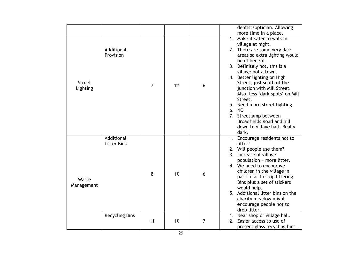|                           |                                                           |                |    |   | dentist/optician. Allowing                                                                                                                                                                                                                                                                                                                                                                                                                                                                                        |
|---------------------------|-----------------------------------------------------------|----------------|----|---|-------------------------------------------------------------------------------------------------------------------------------------------------------------------------------------------------------------------------------------------------------------------------------------------------------------------------------------------------------------------------------------------------------------------------------------------------------------------------------------------------------------------|
| <b>Street</b><br>Lighting | Additional<br>Provision                                   | $\overline{7}$ | 1% | 6 | more time in a place.<br>1. Make it safer to walk in<br>village at night.<br>2. There are some very dark<br>areas so extra lighting would<br>be of benefit.<br>3. Definitely not, this is a<br>village not a town.<br>4. Better lighting on High<br>Street, just south of the<br>junction with Mill Street.<br>Also, less 'dark spots' on Mill<br>Street.<br>5. Need more street lighting.<br>N <sub>O</sub><br>6.<br>7. Streetlamp between<br>Broadfields Road and hill<br>down to village hall. Really<br>dark. |
| Waste<br>Management       | Additional<br><b>Litter Bins</b><br><b>Recycling Bins</b> | 8              | 1% | 6 | 1. Encourage residents not to<br>litter!<br>2. Will people use them?<br>3. Increase of village<br>population = more litter.<br>4. We need to encourage<br>children in the village in<br>particular to stop littering.<br>Bins plus a set of stickers<br>would help.<br>5. Additional litter bins on the<br>charity meadow might<br>encourage people not to<br>drop litter.<br>Near shop or village hall.                                                                                                          |
|                           |                                                           | 11             | 1% | 7 | 2. Easier access to use of<br>present glass recycling bins -                                                                                                                                                                                                                                                                                                                                                                                                                                                      |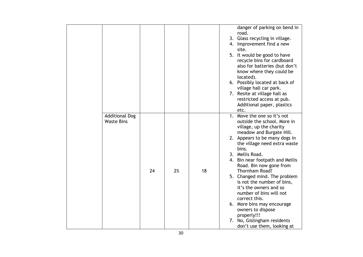|                                            |    |    |    | danger of parking on bend in<br>road.<br>3. Glass recycling in village.<br>4. Improvement find a new                                                                                                                                                                                                                                                                                   |
|--------------------------------------------|----|----|----|----------------------------------------------------------------------------------------------------------------------------------------------------------------------------------------------------------------------------------------------------------------------------------------------------------------------------------------------------------------------------------------|
|                                            |    |    |    | site.<br>5. It would be good to have<br>recycle bins for cardboard<br>also for batteries (but don't<br>know where they could be<br>located).<br>6. Possibly located at back of<br>village hall car park.<br>7. Resite at village hall as                                                                                                                                               |
|                                            |    |    |    | restricted access at pub.<br>Additional paper, plastics<br>etc.                                                                                                                                                                                                                                                                                                                        |
| <b>Additional Dog</b><br><b>Waste Bins</b> | 24 | 2% | 18 | 1. Move the one so it's not<br>outside the school. More in<br>village, up the charity<br>meadow and Burgate Hill.<br>2. Appears to be many dogs in<br>the village need extra waste<br>bins.<br>3. Mellis Road.<br>4. Bin near footpath and Mellis<br>Road. Bin now gone from<br>Thornham Road?<br>5. Changed mind. The problem<br>is not the number of bins,<br>it's the owners and so |
|                                            |    |    |    | number of bins will not<br>correct this.<br>6. More bins may encourage<br>owners to dispose<br>properly!!!<br>7. No, Gislingham residents<br>don't use them, looking at                                                                                                                                                                                                                |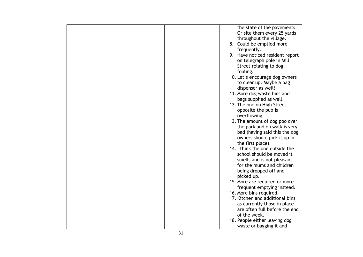|  |  |  | the state of the pavements.     |
|--|--|--|---------------------------------|
|  |  |  | Or site them every 25 yards     |
|  |  |  | throughout the village.         |
|  |  |  | 8. Could be emptied more        |
|  |  |  | frequently.                     |
|  |  |  |                                 |
|  |  |  | 9. Have noticed resident report |
|  |  |  | on telegraph pole in Mill       |
|  |  |  | Street relating to dog-         |
|  |  |  | fouling.                        |
|  |  |  | 10. Let's encourage dog owners  |
|  |  |  | to clear up. Maybe a bag        |
|  |  |  | dispenser as well?              |
|  |  |  | 11. More dog waste bins and     |
|  |  |  | bags supplied as well.          |
|  |  |  | 12. The one on High Street      |
|  |  |  | opposite the pub is             |
|  |  |  |                                 |
|  |  |  | overflowing.                    |
|  |  |  | 13. The amount of dog poo over  |
|  |  |  | the park and on walk is very    |
|  |  |  | bad (having said this the dog   |
|  |  |  | owners should pick it up in     |
|  |  |  | the first place).               |
|  |  |  | 14. I think the one outside the |
|  |  |  | school should be moved it       |
|  |  |  | smells and is not pleasant      |
|  |  |  | for the mums and children       |
|  |  |  | being dropped off and           |
|  |  |  | picked up.                      |
|  |  |  | 15. More are required or more   |
|  |  |  |                                 |
|  |  |  | frequent emptying instead.      |
|  |  |  | 16. More bins required.         |
|  |  |  | 17. Kitchen and additional bins |
|  |  |  | as currently those in place     |
|  |  |  | are often full before the end   |
|  |  |  | of the week.                    |
|  |  |  | 18. People either leaving dog   |
|  |  |  | waste or bagging it and         |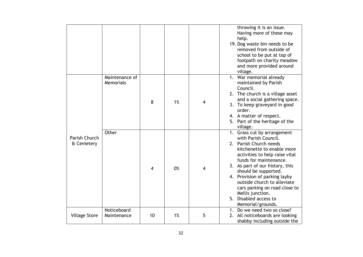|                             |                             |                |    |   | throwing it is an issue.<br>Having more of these may<br>help.<br>19. Dog waste bin needs to be<br>removed from outside of<br>school to be put at top of<br>footpath on charity meadow<br>and more provided around<br>village.                                                                                                                                                                         |
|-----------------------------|-----------------------------|----------------|----|---|-------------------------------------------------------------------------------------------------------------------------------------------------------------------------------------------------------------------------------------------------------------------------------------------------------------------------------------------------------------------------------------------------------|
|                             | Maintenance of<br>Memorials | 8              | 1% | 4 | 1. War memorial already<br>maintained by Parish<br>Council.<br>2. The church is a village asset<br>and a social gathering space.<br>3. To keep graveyard in good<br>order.<br>4. A matter of respect.<br>5. Part of the heritage of the<br>village.                                                                                                                                                   |
| Parish Church<br>& Cemetery | Other                       | $\overline{4}$ | 0% | 4 | 1. Grass cut by arrangement<br>with Parish Council.<br>2. Parish Church needs<br>kitchenette to enable more<br>activities to help raise vital<br>funds for maintenance.<br>3. As part of our history, this<br>should be supported.<br>4. Provision of parking layby<br>outside church to alleviate<br>cars parking on road close to<br>Mellis junction.<br>5. Disabled access to<br>Memorial/grounds. |
| <b>Village Store</b>        | Noticeboard<br>Maintenance  | 10             | 1% | 5 | 1. Do we need two so close?<br>2. All noticeboards are looking<br>shabby including outside the                                                                                                                                                                                                                                                                                                        |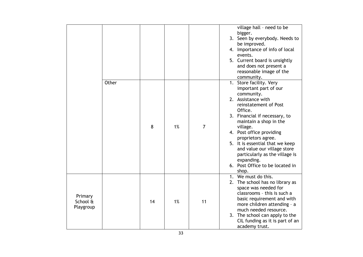|                                  |       |    |    |                | village hall - need to be<br>bigger.<br>3. Seen by everybody. Needs to<br>be improved.<br>4. Importance of info of local<br>events.<br>5. Current board is unsightly<br>and does not present a<br>reasonable image of the<br>community.                                                                                                                                                                         |
|----------------------------------|-------|----|----|----------------|-----------------------------------------------------------------------------------------------------------------------------------------------------------------------------------------------------------------------------------------------------------------------------------------------------------------------------------------------------------------------------------------------------------------|
|                                  | Other | 8  | 1% | $\overline{7}$ | 1. Store facility. Very<br>important part of our<br>community.<br>2. Assistance with<br>reinstatement of Post<br>Office.<br>3. Financial if necessary, to<br>maintain a shop in the<br>village.<br>4. Post office providing<br>proprietors agree.<br>5. It is essential that we keep<br>and value our village store<br>particularly as the village is<br>expanding.<br>6. Post Office to be located in<br>shop. |
| Primary<br>School &<br>Playgroup |       | 14 | 1% | 11             | 1. We must do this.<br>2. The school has no library as<br>space was needed for<br>classrooms - this is such a<br>basic requirement and with<br>more children attending - a<br>much needed resource.<br>3. The school can apply to the<br>CIL funding as it is part of an<br>academy trust.                                                                                                                      |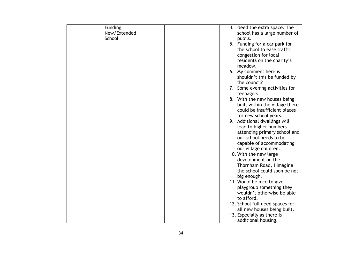| Funding      |  | 4. Need the extra space. The                              |
|--------------|--|-----------------------------------------------------------|
| New/Extended |  | school has a large number of                              |
| School       |  | pupils.                                                   |
|              |  | 5. Funding for a car park for                             |
|              |  | the school to ease traffic                                |
|              |  | congestion for local                                      |
|              |  | residents on the charity's                                |
|              |  | meadow.                                                   |
|              |  | 6. My comment here is -                                   |
|              |  | shouldn't this be funded by                               |
|              |  | the council?<br>7. Some evening activities for            |
|              |  | teenagers.                                                |
|              |  | 8. With the new houses being                              |
|              |  | built within the village there                            |
|              |  | could be insufficient places                              |
|              |  | for new school years.                                     |
|              |  | 9. Additional dwellings will                              |
|              |  | lead to higher numbers                                    |
|              |  | attending primary school and                              |
|              |  | our school needs to be                                    |
|              |  | capable of accommodating                                  |
|              |  | our village children.<br>10. With the new large           |
|              |  | development on the                                        |
|              |  | Thornham Road, I imagine                                  |
|              |  | the school could soon be not                              |
|              |  | big enough.                                               |
|              |  | 11. Would be nice to give                                 |
|              |  | playgroup something they                                  |
|              |  | wouldn't otherwise be able                                |
|              |  | to afford.                                                |
|              |  | 12. School full need spaces for                           |
|              |  | all new houses being built.<br>13. Especially as there is |
|              |  | additional housing.                                       |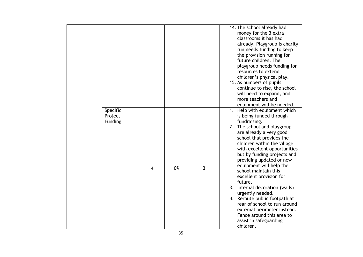|                                       |                |    |   | 14. The school already had<br>money for the 3 extra<br>classrooms it has had<br>already. Playgroup is charity<br>run needs funding to keep<br>the provision running for<br>future children. The<br>playgroup needs funding for<br>resources to extend<br>children's physical play.<br>15. As numbers of pupils<br>continue to rise, the school<br>will need to expand, and<br>more teachers and<br>equipment will be needed.                                                                                                                                                                               |
|---------------------------------------|----------------|----|---|------------------------------------------------------------------------------------------------------------------------------------------------------------------------------------------------------------------------------------------------------------------------------------------------------------------------------------------------------------------------------------------------------------------------------------------------------------------------------------------------------------------------------------------------------------------------------------------------------------|
| Specific<br>Project<br><b>Funding</b> | $\overline{4}$ | 0% | 3 | 1. Help with equipment which<br>is being funded through<br>fundraising.<br>2. The school and playgroup<br>are already a very good<br>school that provides the<br>children within the village<br>with excellent opportunities<br>but by funding projects and<br>providing updated or new<br>equipment will help the<br>school maintain this<br>excellent provision for<br>future.<br>3. Internal decoration (walls)<br>urgently needed.<br>4. Reroute public footpath at<br>rear of school to run around<br>external perimeter instead.<br>Fence around this area to<br>assist in safeguarding<br>children. |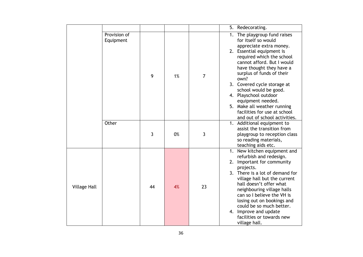|                     |                           |    |    |                | 5. Redecorating.                                                                                                                                                                                                                                                                                                                                                                                                                              |
|---------------------|---------------------------|----|----|----------------|-----------------------------------------------------------------------------------------------------------------------------------------------------------------------------------------------------------------------------------------------------------------------------------------------------------------------------------------------------------------------------------------------------------------------------------------------|
|                     | Provision of<br>Equipment | 9  | 1% | $\overline{7}$ | 1. The playgroup fund raises<br>for itself so would<br>appreciate extra money.<br>2. Essential equipment is<br>required which the school<br>cannot afford. But I would<br>have thought they have a<br>surplus of funds of their<br>own?<br>3. Covered cycle storage at<br>school would be good.<br>4. Playschool outdoor<br>equipment needed.<br>5. Make all weather running<br>facilities for use at school<br>and out of school activities. |
|                     | Other                     | 3  | 0% | 3              | 1. Additional equipment to<br>assist the transition from<br>playgroup to reception class<br>so reading materials,<br>teaching aids etc.                                                                                                                                                                                                                                                                                                       |
| <b>Village Hall</b> |                           | 44 | 4% | 23             | 1. New kitchen equipment and<br>refurbish and redesign.<br>2. Important for community<br>projects.<br>3. There is a lot of demand for<br>village hall but the current<br>hall doesn't offer what<br>neighbouring village halls<br>can so I believe the VH is<br>losing out on bookings and<br>could be so much better.<br>4. Improve and update<br>facilities or towards new<br>village hall.                                                 |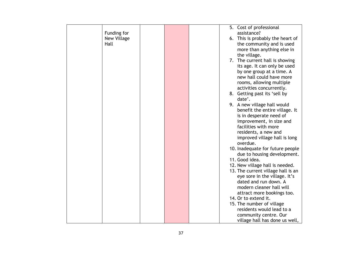|             |  |  | 5. Cost of professional            |
|-------------|--|--|------------------------------------|
| Funding for |  |  | assistance?                        |
| New Village |  |  | 6. This is probably the heart of   |
| Hall        |  |  | the community and is used          |
|             |  |  | more than anything else in         |
|             |  |  | the village.                       |
|             |  |  | 7. The current hall is showing     |
|             |  |  | its age. It can only be used       |
|             |  |  | by one group at a time. A          |
|             |  |  | new hall could have more           |
|             |  |  | rooms, allowing multiple           |
|             |  |  | activities concurrently.           |
|             |  |  | 8. Getting past its 'sell by       |
|             |  |  | date'.                             |
|             |  |  | 9. A new village hall would        |
|             |  |  | benefit the entire village. It     |
|             |  |  | is in desperate need of            |
|             |  |  | improvement, in size and           |
|             |  |  | facilities with more               |
|             |  |  | residents, a new and               |
|             |  |  | improved village hall is long      |
|             |  |  | overdue.                           |
|             |  |  | 10. Inadequate for future people   |
|             |  |  | due to housing development.        |
|             |  |  | 11. Good idea.                     |
|             |  |  | 12. New village hall is needed.    |
|             |  |  | 13. The current village hall is an |
|             |  |  | eye sore in the village. It's      |
|             |  |  | dated and run down. A              |
|             |  |  | modern cleaner hall will           |
|             |  |  | attract more bookings too.         |
|             |  |  | 14. Or to extend it.               |
|             |  |  | 15. The number of village          |
|             |  |  | residents would lead to a          |
|             |  |  | community centre. Our              |
|             |  |  | village hall has done us well,     |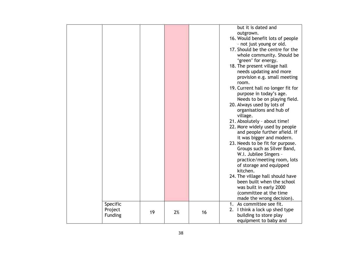|                |    |    |    | but it is dated and                                   |
|----------------|----|----|----|-------------------------------------------------------|
|                |    |    |    | outgrown.<br>16. Would benefit lots of people         |
|                |    |    |    | - not just young or old.                              |
|                |    |    |    | 17. Should be the centre for the                      |
|                |    |    |    | whole community. Should be                            |
|                |    |    |    | 'green' for energy.                                   |
|                |    |    |    | 18. The present village hall                          |
|                |    |    |    | needs updating and more                               |
|                |    |    |    | provision e.g. small meeting<br>room.                 |
|                |    |    |    | 19. Current hall no longer fit for                    |
|                |    |    |    | purpose in today's age.                               |
|                |    |    |    | Needs to be on playing field.                         |
|                |    |    |    | 20. Always used by lots of                            |
|                |    |    |    | organisations and hub of<br>village.                  |
|                |    |    |    | 21. Absolutely - about time!                          |
|                |    |    |    | 22. More widely used by people                        |
|                |    |    |    | and people further afield. If                         |
|                |    |    |    | it was bigger and modern.                             |
|                |    |    |    | 23. Needs to be fit for purpose.                      |
|                |    |    |    | Groups such as Silver Band,<br>W.I. Jubilee Singers - |
|                |    |    |    | practice/meeting room, lots                           |
|                |    |    |    | of storage and equipped                               |
|                |    |    |    | kitchen.                                              |
|                |    |    |    | 24. The village hall should have                      |
|                |    |    |    | been built when the school                            |
|                |    |    |    | was built in early 2000<br>(committee at the time     |
|                |    |    |    | made the wrong decision).                             |
| Specific       |    |    |    | 1. As committee see fit.                              |
| Project        | 19 | 2% | 16 | 2. I think a lock up shed type                        |
| <b>Funding</b> |    |    |    | building to store play                                |
|                |    |    |    | equipment to baby and                                 |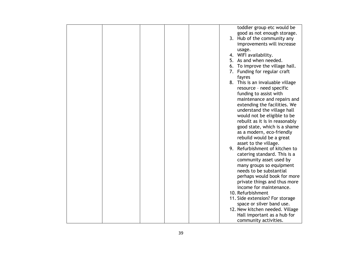|  |  |    | toddler group etc would be       |
|--|--|----|----------------------------------|
|  |  |    | good as not enough storage.      |
|  |  |    | 3. Hub of the community any      |
|  |  |    | improvements will increase       |
|  |  |    | usage.                           |
|  |  |    | 4. WIFI availability.            |
|  |  |    | 5. As and when needed.           |
|  |  |    |                                  |
|  |  | 6. | To improve the village hall.     |
|  |  |    | 7. Funding for regular craft     |
|  |  |    | fayres                           |
|  |  |    | 8. This is an invaluable village |
|  |  |    | resource - need specific         |
|  |  |    | funding to assist with           |
|  |  |    | maintenance and repairs and      |
|  |  |    | extending the facilities. We     |
|  |  |    | understand the village hall      |
|  |  |    | would not be eligible to be      |
|  |  |    | rebuilt as it is in reasonably   |
|  |  |    | good state, which is a shame     |
|  |  |    | as a modern, eco-friendly        |
|  |  |    | rebuild would be a great         |
|  |  |    | asset to the village.            |
|  |  |    | 9. Refurbishment of kitchen to   |
|  |  |    | catering standard. This is a     |
|  |  |    |                                  |
|  |  |    | community asset used by          |
|  |  |    | many groups so equipment         |
|  |  |    | needs to be substantial          |
|  |  |    | perhaps would book for more      |
|  |  |    | private things and thus more     |
|  |  |    | income for maintenance.          |
|  |  |    | 10. Refurbishment                |
|  |  |    | 11. Side extension? For storage  |
|  |  |    | space or silver band use.        |
|  |  |    | 12. New kitchen needed. Village  |
|  |  |    | Hall important as a hub for      |
|  |  |    | community activities.            |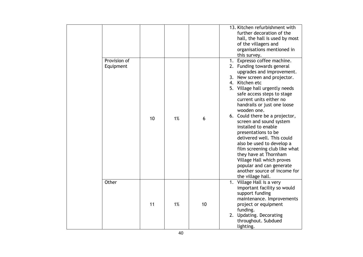| Provision of<br>Equipment |    |    |    | 13. Kitchen refurbishment with<br>further decoration of the<br>hall, the hall is used by most<br>of the villagers and<br>organisations mentioned in<br>this survey.<br>Expresso coffee machine.<br>1.<br>2. Funding towards general<br>upgrades and improvement.<br>3. New screen and projector.<br>4. Kitchen etc                                                                                                                                                                  |
|---------------------------|----|----|----|-------------------------------------------------------------------------------------------------------------------------------------------------------------------------------------------------------------------------------------------------------------------------------------------------------------------------------------------------------------------------------------------------------------------------------------------------------------------------------------|
|                           | 10 | 1% | 6  | 5. Village hall urgently needs<br>safe access steps to stage<br>current units either no<br>handrails or just one loose<br>wooden one.<br>6. Could there be a projector,<br>screen and sound system<br>installed to enable<br>presentations to be<br>delivered well. This could<br>also be used to develop a<br>film screening club like what<br>they have at Thornham<br>Village Hall which proves<br>popular and can generate<br>another source of income for<br>the village hall. |
| Other                     | 11 | 1% | 10 | 1. Village Hall is a very<br>important facility so would<br>support funding<br>maintenance. Improvements<br>project or equipment<br>funding.<br>2. Updating. Decorating<br>throughout. Subdued<br>lighting.                                                                                                                                                                                                                                                                         |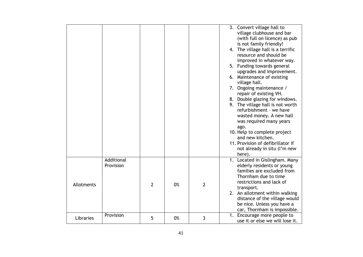|            |                         |                |    |                | 3. Convert village hall to<br>village clubhouse and bar<br>(with full on licence) as pub<br>is not family friendly!<br>4. The village hall is a terrific<br>resource and should be<br>improved in whatever way.<br>5. Funding towards general<br>upgrades and improvement.<br>6. Maintenance of existing<br>village hall.<br>7. Ongoing maintenance /<br>repair of existing VH.<br>8. Double glazing for windows.<br>9. The village hall is not worth<br>refurbishment - we have<br>wasted money. A new hall<br>was required many years<br>ago.<br>10. Help to complete project<br>and new kitchen.<br>11. Provision of defibrillator if<br>not already in situ (I'm new<br>here). |
|------------|-------------------------|----------------|----|----------------|------------------------------------------------------------------------------------------------------------------------------------------------------------------------------------------------------------------------------------------------------------------------------------------------------------------------------------------------------------------------------------------------------------------------------------------------------------------------------------------------------------------------------------------------------------------------------------------------------------------------------------------------------------------------------------|
| Allotments | Additional<br>Provision | $\overline{2}$ | 0% | $\overline{2}$ | 1. Located in Gislingham. Many<br>elderly residents or young<br>families are excluded from<br>Thornham due to time<br>restrictions and lack of<br>transport.<br>2. An allotment within walking<br>distance of the village would<br>be nice. Unless you have a<br>car, Thornham is impossible.                                                                                                                                                                                                                                                                                                                                                                                      |
| Libraries  | Provision               | 5              | 0% | 3              | 1. Encourage more people to<br>use it or else we will lose it.                                                                                                                                                                                                                                                                                                                                                                                                                                                                                                                                                                                                                     |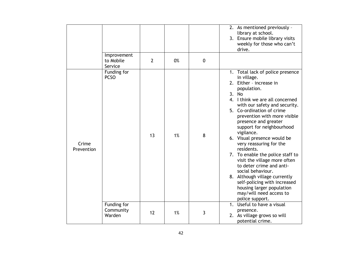|                     |                                     |                |    |             | 2. As mentioned previously -<br>library at school.<br>3. Ensure mobile library visits<br>weekly for those who can't<br>drive.                                                                                                                                                                                                                                                                                                                                                                                                                                                                                                                      |
|---------------------|-------------------------------------|----------------|----|-------------|----------------------------------------------------------------------------------------------------------------------------------------------------------------------------------------------------------------------------------------------------------------------------------------------------------------------------------------------------------------------------------------------------------------------------------------------------------------------------------------------------------------------------------------------------------------------------------------------------------------------------------------------------|
|                     | Improvement<br>to Mobile<br>Service | $\overline{2}$ | 0% | $\mathbf 0$ |                                                                                                                                                                                                                                                                                                                                                                                                                                                                                                                                                                                                                                                    |
| Crime<br>Prevention | Funding for<br><b>PCSO</b>          | 13             | 1% | 8           | Total lack of police presence<br>1.<br>in village.<br>2. Either - increase in<br>population.<br>3. No<br>4. I think we are all concerned<br>with our safety and security.<br>5. Co-ordination of crime<br>prevention with more visible<br>presence and greater<br>support for neighbourhood<br>vigilance.<br>6. Visual presence would be<br>very reassuring for the<br>residents.<br>7. To enable the police staff to<br>visit the village more often<br>to deter crime and anti-<br>social behaviour.<br>8. Although village currently<br>self-policing with increased<br>housing larger population<br>may/will need access to<br>police support. |
|                     | Funding for<br>Community<br>Warden  | 12             | 1% | 3           | Useful to have a visual<br>$1_{\cdot}$<br>presence.<br>2. As village grows so will<br>potential crime.                                                                                                                                                                                                                                                                                                                                                                                                                                                                                                                                             |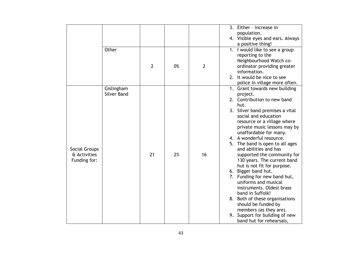|                               |                    |                |    |                | 3. Either - increase in                                    |
|-------------------------------|--------------------|----------------|----|----------------|------------------------------------------------------------|
|                               |                    |                |    |                | population.                                                |
|                               |                    |                |    |                | 4. Visible eyes and ears. Always                           |
|                               |                    |                |    |                | a positive thing!                                          |
|                               | Other              |                |    |                | 1. I would like to see a group                             |
|                               |                    |                |    |                | reporting to the                                           |
|                               |                    | $\overline{2}$ |    |                | Neighbourhood Watch co-                                    |
|                               |                    |                | 0% | $\overline{2}$ | ordinator providing greater<br>information.                |
|                               |                    |                |    |                | 2. It would be nice to see                                 |
|                               |                    |                |    |                | police in village more often.                              |
|                               | Gislingham         |                |    |                | 1. Grant towards new building                              |
|                               | <b>Silver Band</b> |                |    |                | project.                                                   |
|                               |                    |                |    |                | 2. Contribution to new band                                |
|                               |                    |                |    |                | hut.                                                       |
|                               |                    |                |    |                | 3. Silver band premises a vital                            |
|                               |                    |                |    |                | social and education                                       |
|                               |                    |                |    |                | resource or a village where                                |
|                               |                    |                |    |                | private music lessons may by                               |
|                               |                    |                |    |                | unaffordable for many.                                     |
|                               |                    |                |    |                | 4. A wonderful resource.                                   |
|                               |                    |                |    |                | 5. The band is open to all ages                            |
| Social Groups<br>& Activities |                    | 21             | 2% | 16             | and abilities and has                                      |
| Funding for:                  |                    |                |    |                | supported the community for<br>130 years. The current band |
|                               |                    |                |    |                | hut is not fit for purpose.                                |
|                               |                    |                |    |                | 6. Bigger band hut.                                        |
|                               |                    |                |    |                | 7. Funding for new band hut,                               |
|                               |                    |                |    |                | uniforms and musical                                       |
|                               |                    |                |    |                | instruments. Oldest brass                                  |
|                               |                    |                |    |                | band in Suffolk!                                           |
|                               |                    |                |    |                | 8. Both of these organisations                             |
|                               |                    |                |    |                | should be funded by                                        |
|                               |                    |                |    |                | members (as they are).                                     |
|                               |                    |                |    |                | 9. Support for building of new                             |
|                               |                    |                |    |                | band hut for rehearsals,                                   |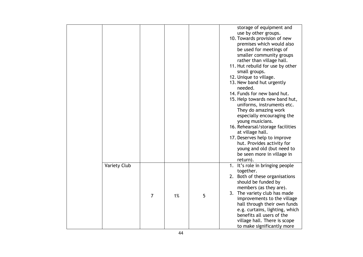|                     |                |    |   | storage of equipment and<br>use by other groups.<br>10. Towards provision of new<br>premises which would also<br>be used for meetings of<br>smaller community groups<br>rather than village hall.<br>11. Hut rebuild for use by other<br>small groups.<br>12. Unique to village.<br>13. New band hut urgently<br>needed.<br>14. Funds for new band hut.<br>15. Help towards new band hut,<br>uniforms, instruments etc.<br>They do amazing work<br>especially encouraging the<br>young musicians.<br>16. Rehearsal/storage facilities<br>at village hall.<br>17. Deserves help to improve<br>hut. Provides activity for<br>young and old (but need to<br>be seen more in village in<br>return). |
|---------------------|----------------|----|---|-------------------------------------------------------------------------------------------------------------------------------------------------------------------------------------------------------------------------------------------------------------------------------------------------------------------------------------------------------------------------------------------------------------------------------------------------------------------------------------------------------------------------------------------------------------------------------------------------------------------------------------------------------------------------------------------------|
| <b>Variety Club</b> | $\overline{7}$ | 1% | 5 | 1. It's role in bringing people<br>together.<br>2. Both of these organisations<br>should be funded by<br>members (as they are).<br>3. The variety club has made<br>improvements to the village<br>hall through their own funds<br>e.g. curtains, lighting, which<br>benefits all users of the<br>village hall. There is scope<br>to make significantly more                                                                                                                                                                                                                                                                                                                                     |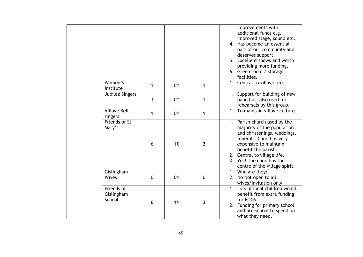|                                    |             |    |                | improvements with<br>additional funds e.g.<br>improved stage, sound etc.<br>Has become an essential<br>4.<br>part of our community and<br>deserves support.<br>Excellent shows and worth<br>5 <sub>1</sub><br>providing more funding.<br>6. Green room / storage<br>facilities. |
|------------------------------------|-------------|----|----------------|---------------------------------------------------------------------------------------------------------------------------------------------------------------------------------------------------------------------------------------------------------------------------------|
| Women's<br>Institute               | 1           | 0% | 1              | 1. Central to village life.                                                                                                                                                                                                                                                     |
| Jubilee Singers                    | 3           | 0% | 1              | Support for building of new<br>1.<br>band hut, also used for<br>rehearsals by this group.                                                                                                                                                                                       |
| <b>Village Bell</b><br>ringers     | 1           | 0% | 1              | 1. To maintain village culture.                                                                                                                                                                                                                                                 |
| Friends of St<br>Mary's            | 6           | 1% | $\overline{2}$ | 1. Parish church used by the<br>majority of the population<br>and christenings, weddings,<br>funerals. Church is very<br>expensive to maintain -<br>benefit the parish.<br>2. Central to village life.<br>3. Yes! The church is the<br>centre of the village spirit.            |
| Gislingham<br><b>Wives</b>         | $\mathbf 0$ | 0% | $\mathbf 0$    | 1. Who are they?<br>No Not open to all<br>2.<br>wives/invitation only.                                                                                                                                                                                                          |
| Friends of<br>Gislingham<br>School | 6           | 1% | 3              | Lots of local children would<br>1 <sub>1</sub><br>benefit from extra funding<br>for FOGS.<br>2. Funding for primary school<br>and pre-school to spend on<br>what they need.                                                                                                     |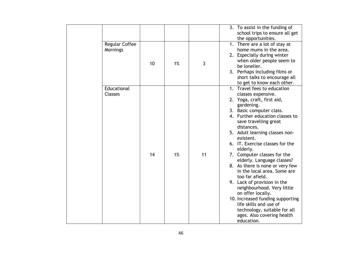|                                   |    |    |    | 3. To assist in the funding of<br>school trips to ensure all get<br>the opportunities.                                                                                                                                                                                                                                                                                                                                                                                                                                                                                                                                                                                          |
|-----------------------------------|----|----|----|---------------------------------------------------------------------------------------------------------------------------------------------------------------------------------------------------------------------------------------------------------------------------------------------------------------------------------------------------------------------------------------------------------------------------------------------------------------------------------------------------------------------------------------------------------------------------------------------------------------------------------------------------------------------------------|
| <b>Regular Coffee</b><br>Mornings | 10 | 1% | 3  | 1. There are a lot of stay at<br>home mums in the area.<br>2. Especially during winter<br>when older people seem to<br>be lonelier.<br>3. Perhaps including films or<br>short talks to encourage all<br>to get to know each other.                                                                                                                                                                                                                                                                                                                                                                                                                                              |
| Educational<br><b>Classes</b>     | 14 | 1% | 11 | 1. Travel fees to education<br>classes expensive.<br>2. Yoga, craft, first aid,<br>gardening.<br>3. Basic computer class.<br>4. Further education classes to<br>save travelling great<br>distances.<br>5. Adult learning classes non-<br>existent.<br>6. IT. Exercise classes for the<br>elderly.<br>7. Computer classes for the<br>elderly. Language classes?<br>8. As there is none or very few<br>in the local area. Some are<br>too far afield.<br>9. Lack of provision in the<br>neighbourhood. Very little<br>on offer locally.<br>10. Increased funding supporting<br>life skills and use of<br>technology, suitable for all<br>ages. Also covering health<br>education. |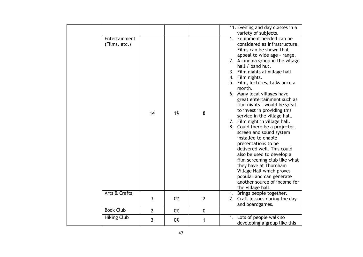|                                |                |    |                | 11. Evening and day classes in a                                                                                                                                                                                                                                                                                                                                                                                                                                                                                                                                                                                                                                                                                                                                                                            |
|--------------------------------|----------------|----|----------------|-------------------------------------------------------------------------------------------------------------------------------------------------------------------------------------------------------------------------------------------------------------------------------------------------------------------------------------------------------------------------------------------------------------------------------------------------------------------------------------------------------------------------------------------------------------------------------------------------------------------------------------------------------------------------------------------------------------------------------------------------------------------------------------------------------------|
|                                |                |    |                | variety of subjects.                                                                                                                                                                                                                                                                                                                                                                                                                                                                                                                                                                                                                                                                                                                                                                                        |
| Entertainment<br>(Films, etc.) | 14             | 1% | 8              | Equipment needed can be<br>1.<br>considered as infrastructure.<br>Films can be shown that<br>appeal to wide age - range.<br>2. A cinema group in the village<br>hall / band hut.<br>3. Film nights at village hall.<br>4. Film nights.<br>5. Film, lectures, talks once a<br>month.<br>6. Many local villages have<br>great entertainment such as<br>film nights - would be great<br>to invest in providing this<br>service in the village hall.<br>7. Film night in village hall.<br>8. Could there be a projector,<br>screen and sound system<br>installed to enable<br>presentations to be<br>delivered well. This could<br>also be used to develop a<br>film screening club like what<br>they have at Thornham<br>Village Hall which proves<br>popular and can generate<br>another source of income for |
| Arts & Crafts                  |                |    |                | the village hall.                                                                                                                                                                                                                                                                                                                                                                                                                                                                                                                                                                                                                                                                                                                                                                                           |
|                                | $\mathbf{3}$   | 0% | $\overline{2}$ | Brings people together.<br>1.<br>2. Craft lessons during the day<br>and boardgames.                                                                                                                                                                                                                                                                                                                                                                                                                                                                                                                                                                                                                                                                                                                         |
| <b>Book Club</b>               | $\overline{2}$ | 0% | $\mathbf 0$    |                                                                                                                                                                                                                                                                                                                                                                                                                                                                                                                                                                                                                                                                                                                                                                                                             |
| <b>Hiking Club</b>             | $\mathbf{3}$   | 0% | 1              | 1. Lots of people walk so<br>developing a group like this                                                                                                                                                                                                                                                                                                                                                                                                                                                                                                                                                                                                                                                                                                                                                   |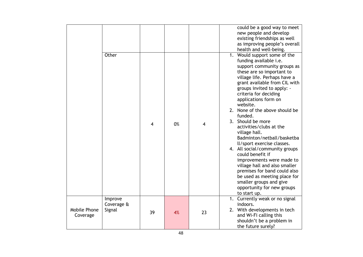|                          |                                 |    |    |    | could be a good way to meet<br>new people and develop<br>existing friendships as well<br>as improving people's overall<br>health and well-being.                                                                                                                                                                                                                                                                                                                                                                                                                                                                                                                                                                      |
|--------------------------|---------------------------------|----|----|----|-----------------------------------------------------------------------------------------------------------------------------------------------------------------------------------------------------------------------------------------------------------------------------------------------------------------------------------------------------------------------------------------------------------------------------------------------------------------------------------------------------------------------------------------------------------------------------------------------------------------------------------------------------------------------------------------------------------------------|
|                          | Other                           | 4  | 0% | 4  | 1. Would support some of the<br>funding available i.e.<br>support community groups as<br>these are so important to<br>village life. Perhaps have a<br>grant available from CIL with<br>groups invited to apply: -<br>criteria for deciding<br>applications form on<br>website.<br>2. None of the above should be<br>funded.<br>3. Should be more<br>activities/clubs at the<br>village hall.<br>Badminton/netball/basketba<br>Il/sport exercise classes.<br>4. All social/community groups<br>could benefit if<br>improvements were made to<br>village hall and also smaller<br>premises for band could also<br>be used as meeting place for<br>smaller groups and give<br>opportunity for new groups<br>to start up. |
| Mobile Phone<br>Coverage | Improve<br>Coverage &<br>Signal | 39 | 4% | 23 | 1. Currently weak or no signal<br>indoors.<br>2. With developments in tech<br>and Wi-Fi calling this<br>shouldn't be a problem in<br>the future surely?                                                                                                                                                                                                                                                                                                                                                                                                                                                                                                                                                               |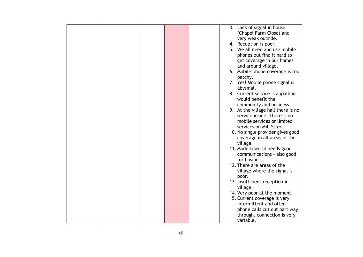|  |  |  | 3. Lack of signal in house         |
|--|--|--|------------------------------------|
|  |  |  | (Chapel Farm Close) and            |
|  |  |  | very weak outside.                 |
|  |  |  | 4. Reception is poor.              |
|  |  |  | 5. We all need and use mobile      |
|  |  |  | phones but find it hard to         |
|  |  |  | get coverage in our homes          |
|  |  |  | and around village.                |
|  |  |  | 6. Mobile phone coverage is too    |
|  |  |  |                                    |
|  |  |  | patchy.                            |
|  |  |  | 7. Yes! Mobile phone signal is     |
|  |  |  | abysmal.                           |
|  |  |  | 8. Current service is appalling    |
|  |  |  | would benefit the                  |
|  |  |  | community and business.            |
|  |  |  | 9. At the village hall there is no |
|  |  |  | service inside. There is no        |
|  |  |  | mobile services or limited         |
|  |  |  | services on Mill Street.           |
|  |  |  | 10. No single provider gives good  |
|  |  |  | coverage in all areas of the       |
|  |  |  | village.                           |
|  |  |  |                                    |
|  |  |  | 11. Modern world needs good        |
|  |  |  | communications - also good         |
|  |  |  | for business.                      |
|  |  |  | 12. There are areas of the         |
|  |  |  | village where the signal is        |
|  |  |  | poor.                              |
|  |  |  | 13. Insufficient reception in      |
|  |  |  | village.                           |
|  |  |  | 14. Very poor at the moment.       |
|  |  |  | 15. Current coverage is very       |
|  |  |  | intermittent and often             |
|  |  |  | phone calls cut out part way       |
|  |  |  | through, connection is very        |
|  |  |  | variable.                          |
|  |  |  |                                    |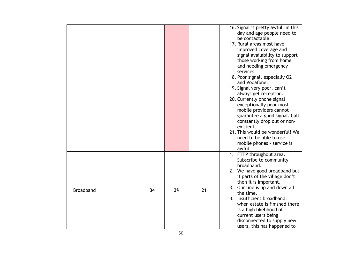|                  |    |    |    | 16. Signal is pretty awful, in this<br>day and age people need to<br>be contactable.<br>17. Rural areas most have<br>improved coverage and<br>signal availability to support<br>those working from home<br>and needing emergency<br>services.<br>18. Poor signal, especially O2<br>and Vodafone.<br>19. Signal very poor, can't<br>always get reception.<br>20. Currently phone signal<br>exceptionally poor most<br>mobile providers cannot<br>guarantee a good signal. Call<br>constantly drop out or non-<br>existent.<br>21. This would be wonderful! We<br>need to be able to use<br>mobile phones - service is<br>awful. |
|------------------|----|----|----|--------------------------------------------------------------------------------------------------------------------------------------------------------------------------------------------------------------------------------------------------------------------------------------------------------------------------------------------------------------------------------------------------------------------------------------------------------------------------------------------------------------------------------------------------------------------------------------------------------------------------------|
| <b>Broadband</b> | 34 | 3% | 21 | 1. FTTP throughout area.<br>Subscribe to community<br>broadband.<br>2. We have good broadband but<br>if parts of the village don't<br>then it is important.<br>3. Our line is up and down all<br>the time.<br>4. Insufficient broadband,<br>when estate is finished there<br>is a high likelihood of<br>current users being<br>disconnected to supply new<br>users, this has happened to                                                                                                                                                                                                                                       |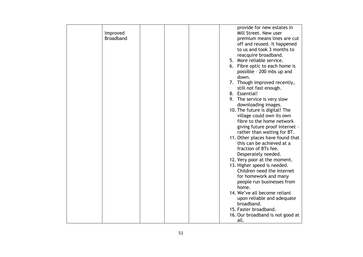| Improved<br><b>Broadband</b> |  |  | provide for new estates in<br>Mill Street. New user<br>premium means lines are cut<br>off and reused. It happened<br>to us and took 3 months to<br>reacquire broadband. |
|------------------------------|--|--|-------------------------------------------------------------------------------------------------------------------------------------------------------------------------|
|                              |  |  | 5. More reliable service.                                                                                                                                               |
|                              |  |  | 6. Fibre optic to each home is<br>possible - 200 mbs up and<br>down.                                                                                                    |
|                              |  |  | 7. Though improved recently,<br>still not fast enough.                                                                                                                  |
|                              |  |  | 8. Essential!                                                                                                                                                           |
|                              |  |  | 9. The service is very slow<br>downloading images.                                                                                                                      |
|                              |  |  | 10. The future is digital! The<br>village could own its own                                                                                                             |
|                              |  |  | fibre to the home network<br>giving future proof internet -<br>rather than waiting for BT.                                                                              |
|                              |  |  | 11. Other places have found that<br>this can be achieved at a<br>fraction of BTs fee.<br>Desperately needed.                                                            |
|                              |  |  | 12. Very poor at the moment.                                                                                                                                            |
|                              |  |  | 13. Higher speed is needed.<br>Children need the internet<br>for homework and many<br>people run businesses from                                                        |
|                              |  |  | home.                                                                                                                                                                   |
|                              |  |  | 14. We've all become reliant<br>upon reliable and adequate                                                                                                              |
|                              |  |  | broadband.                                                                                                                                                              |
|                              |  |  | 15. Faster broadband.                                                                                                                                                   |
|                              |  |  | 16. Our broadband is not good at<br>all.                                                                                                                                |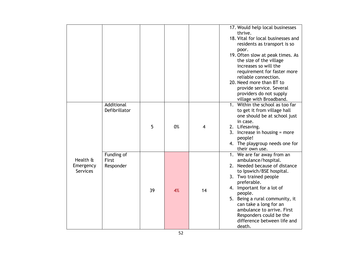|                                          |                                  |    |    |    | 17. Would help local businesses<br>thrive.<br>18. Vital for local businesses and<br>residents as transport is so<br>poor.<br>19. Often slow at peak times. As<br>the size of the village<br>increases so will the<br>requirement for faster more<br>reliable connection.<br>20. Need more than BT to<br>provide service. Several<br>providers do not supply  |
|------------------------------------------|----------------------------------|----|----|----|--------------------------------------------------------------------------------------------------------------------------------------------------------------------------------------------------------------------------------------------------------------------------------------------------------------------------------------------------------------|
|                                          |                                  |    |    |    | village with Broadband.                                                                                                                                                                                                                                                                                                                                      |
|                                          | Additional<br>Defibrillator      | 5  | 0% | 4  | 1. Within the school as too far<br>to get it from village hall<br>one should be at school just<br>in case.<br>2. Lifesaving.<br>3. Increase in housing $=$ more<br>people!<br>4. The playgroup needs one for<br>their own use.                                                                                                                               |
| Health &<br>Emergency<br><b>Services</b> | Funding of<br>First<br>Responder | 39 | 4% | 14 | 1. We are far away from an<br>ambulance/hospital.<br>2. Needed because of distance<br>to Ipswich/BSE hospital.<br>3. Two trained people<br>preferable.<br>4. Important for a lot of<br>people.<br>5. Being a rural community, it<br>can take a long for an<br>ambulance to arrive. First<br>Responders could be the<br>difference between life and<br>death. |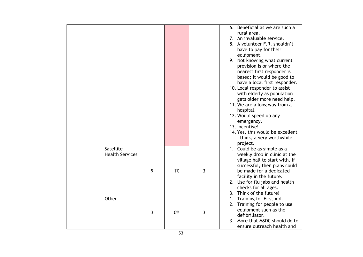|  |                        |   |    |   | 6. Beneficial as we are such a          |
|--|------------------------|---|----|---|-----------------------------------------|
|  |                        |   |    |   | rural area.                             |
|  |                        |   |    |   | 7. An invaluable service.               |
|  |                        |   |    |   | A volunteer F.R. shouldn't<br>8.        |
|  |                        |   |    |   | have to pay for their                   |
|  |                        |   |    |   | equipment.                              |
|  |                        |   |    |   | 9. Not knowing what current             |
|  |                        |   |    |   | provision is or where the               |
|  |                        |   |    |   | nearest first responder is              |
|  |                        |   |    |   | based; it would be good to              |
|  |                        |   |    |   | have a local first responder.           |
|  |                        |   |    |   | 10. Local responder to assist           |
|  |                        |   |    |   | with elderly as population              |
|  |                        |   |    |   | gets older more need help.              |
|  |                        |   |    |   | 11. We are a long way from a            |
|  |                        |   |    |   | hospital.                               |
|  |                        |   |    |   | 12. Would speed up any                  |
|  |                        |   |    |   | emergency.                              |
|  |                        |   |    |   | 13. Incentive!                          |
|  |                        |   |    |   | 14. Yes, this would be excellent        |
|  |                        |   |    |   | I think, a very worthwhile              |
|  |                        |   |    |   | project.                                |
|  | Satellite              |   |    |   | 1. Could be as simple as a              |
|  | <b>Health Services</b> |   |    |   | weekly drop in clinic at the            |
|  |                        |   |    |   | village hall to start with. If          |
|  |                        | 9 |    |   | successful, then plans could            |
|  |                        |   | 1% | 3 | be made for a dedicated                 |
|  |                        |   |    |   | facility in the future.                 |
|  |                        |   |    |   | 2. Use for flu jabs and health          |
|  |                        |   |    |   | checks for all ages.                    |
|  |                        |   |    |   | 3. Think of the future!                 |
|  | Other                  |   |    |   | Training for First Aid.<br>1.           |
|  |                        |   |    |   | 2. Training for people to use           |
|  |                        | 3 | 0% | 3 | equipment such as the<br>defibrillator. |
|  |                        |   |    |   | 3. More that MSDC should do to          |
|  |                        |   |    |   |                                         |
|  |                        |   |    |   | ensure outreach health and              |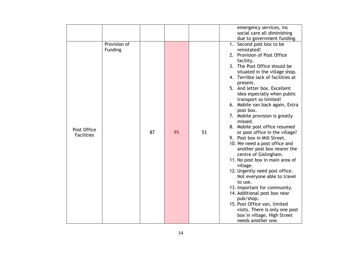|                                  |                         |    |    |    | emergency services, inc<br>social care all diminishing<br>due to government funding.                                                                                                                                                                                                                                                                                                                                                                                                                                                                                                                                                                                                                                                                                                                                                                                                                                 |
|----------------------------------|-------------------------|----|----|----|----------------------------------------------------------------------------------------------------------------------------------------------------------------------------------------------------------------------------------------------------------------------------------------------------------------------------------------------------------------------------------------------------------------------------------------------------------------------------------------------------------------------------------------------------------------------------------------------------------------------------------------------------------------------------------------------------------------------------------------------------------------------------------------------------------------------------------------------------------------------------------------------------------------------|
| Post Office<br><b>Facilities</b> | Provision of<br>Funding | 87 | 9% | 53 | 1. Second post box to be<br>reinstated!<br>2. Provision of Post Office<br>facility.<br>3. The Post Office should be<br>situated in the village shop.<br>4. Terrible lack of facilities at<br>present.<br>5. And letter box. Excellent<br>idea especially when public<br>transport so limited!<br>6. Mobile van back again, Extra<br>post box.<br>7. Mobile provision is greatly<br>missed.<br>8. Mobile post office resumed<br>or post office in the village?<br>9. Post box in Mill Street.<br>10. We need a post office and<br>another post box nearer the<br>centre of Gislingham.<br>11. No post box in main area of<br>village.<br>12. Urgently need post office.<br>Not everyone able to travel<br>to use.<br>13. Important for community.<br>14. Additional post box near<br>pub/shop.<br>15. Post Office van, limited<br>visits. There is only one post<br>box in village, High Street<br>needs another one. |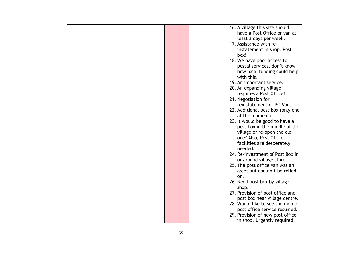|  |  | 16. A village this size should    |
|--|--|-----------------------------------|
|  |  | have a Post Office or van at      |
|  |  | least 2 days per week.            |
|  |  | 17. Assistance with re-           |
|  |  | instatement in shop. Post         |
|  |  | box!                              |
|  |  | 18. We have poor access to        |
|  |  |                                   |
|  |  | postal services, don't know       |
|  |  | how local funding could help      |
|  |  | with this.                        |
|  |  | 19. An important service.         |
|  |  | 20. An expanding village          |
|  |  | requires a Post Office!           |
|  |  | 21. Negotiation for               |
|  |  | reinstatement of PO Van.          |
|  |  | 22. Additional post box (only one |
|  |  | at the moment).                   |
|  |  | 23. It would be good to have a    |
|  |  | post box in the middle of the     |
|  |  |                                   |
|  |  | village or re-open the old        |
|  |  | one? Also, Post Office            |
|  |  | facilities are desperately        |
|  |  | needed.                           |
|  |  | 24. Re-investment of Post Box in  |
|  |  | or around village store.          |
|  |  | 25. The post office van was an    |
|  |  | asset but couldn't be relied      |
|  |  | on.                               |
|  |  | 26. Need post box by village      |
|  |  | shop.                             |
|  |  |                                   |
|  |  | 27. Provision of post office and  |
|  |  | post box near village centre.     |
|  |  | 28. Would like to see the mobile  |
|  |  | post office service resumed.      |
|  |  | 29. Provision of new post office  |
|  |  | in shop. Urgently required.       |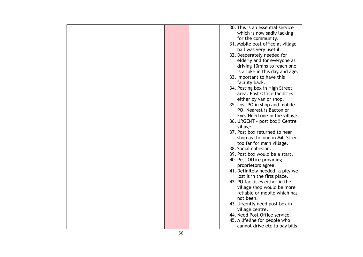|  |  | 30. This is an essential service  |
|--|--|-----------------------------------|
|  |  | which is now sadly lacking        |
|  |  | for the community.                |
|  |  | 31. Mobile post office at village |
|  |  | hall was very useful.             |
|  |  | 32. Desperately needed for        |
|  |  | elderly and for everyone as       |
|  |  |                                   |
|  |  | driving 10mins to reach one       |
|  |  | is a joke in this day and age.    |
|  |  | 33. Important to have this        |
|  |  | facility back.                    |
|  |  | 34. Posting box in High Street    |
|  |  | area. Post Office facilities      |
|  |  | either by van or shop.            |
|  |  | 35. Lost PO in shop and mobile    |
|  |  | PO. Nearest is Bacton or          |
|  |  | Eye. Need one in the village.     |
|  |  | 36. URGENT - post box!! Centre    |
|  |  | village.                          |
|  |  | 37. Post box returned to near     |
|  |  | shop as the one in Mill Street    |
|  |  | too far for main village.         |
|  |  | 38. Social cohesion.              |
|  |  | 39. Post box would be a start.    |
|  |  | 40. Post Office providing         |
|  |  | proprietors agree.                |
|  |  |                                   |
|  |  | 41. Definitely needed, a pity we  |
|  |  | lost it in the first place.       |
|  |  | 42. PO facilities either in the   |
|  |  | village shop would be more        |
|  |  | reliable or mobile which has      |
|  |  | not been.                         |
|  |  | 43. Urgently need post box in     |
|  |  | village centre.                   |
|  |  | 44. Need Post Office service.     |
|  |  | 45. A lifeline for people who     |
|  |  | cannot drive etc to pay bills     |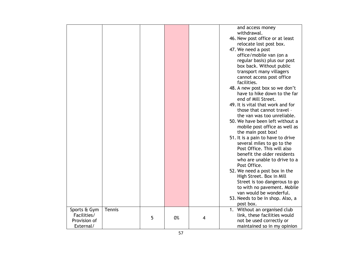|              |        |   |    |   | and access money                  |
|--------------|--------|---|----|---|-----------------------------------|
|              |        |   |    |   | withdrawal.                       |
|              |        |   |    |   |                                   |
|              |        |   |    |   | 46. New post office or at least   |
|              |        |   |    |   | relocate lost post box.           |
|              |        |   |    |   | 47. We need a post                |
|              |        |   |    |   | office/mobile van (on a           |
|              |        |   |    |   | regular basis) plus our post      |
|              |        |   |    |   | box back. Without public          |
|              |        |   |    |   | transport many villagers          |
|              |        |   |    |   | cannot access post office         |
|              |        |   |    |   | facilities.                       |
|              |        |   |    |   | 48. A new post box so we don't    |
|              |        |   |    |   | have to hike down to the far      |
|              |        |   |    |   | end of Mill Street.               |
|              |        |   |    |   | 49. It is vital that work and for |
|              |        |   |    |   | those that cannot travel -        |
|              |        |   |    |   | the van was too unreliable.       |
|              |        |   |    |   | 50. We have been left without a   |
|              |        |   |    |   | mobile post office as well as     |
|              |        |   |    |   | the main post box!                |
|              |        |   |    |   | 51. It is a pain to have to drive |
|              |        |   |    |   | several miles to go to the        |
|              |        |   |    |   | Post Office. This will also       |
|              |        |   |    |   | benefit the older residents       |
|              |        |   |    |   | who are unable to drive to a      |
|              |        |   |    |   | Post Office.                      |
|              |        |   |    |   | 52. We need a post box in the     |
|              |        |   |    |   |                                   |
|              |        |   |    |   | High Street. Box in Mill          |
|              |        |   |    |   | Street is too dangerous to go     |
|              |        |   |    |   | to with no pavement. Mobile       |
|              |        |   |    |   | van would be wonderful.           |
|              |        |   |    |   | 53. Needs to be in shop. Also, a  |
|              |        |   |    |   | post box.                         |
| Sports & Gym | Tennis |   |    |   | 1. Without an organised club      |
| Facilities/  |        | 5 | 0% | 4 | link, these facilities would      |
| Provision of |        |   |    |   | not be used correctly or          |
| External/    |        |   |    |   | maintained so in my opinion       |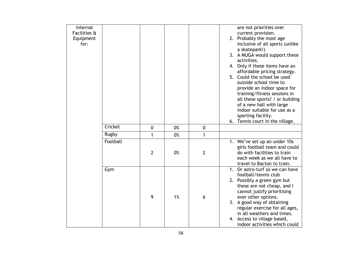| Internal     |          |                |    |                | are not priorities over                                        |
|--------------|----------|----------------|----|----------------|----------------------------------------------------------------|
| Facilities & |          |                |    |                | current provision.                                             |
| Equipment    |          |                |    |                | 2. Probably the most age                                       |
| for:         |          |                |    |                | inclusive of all sports (unlike                                |
|              |          |                |    |                | a skatepark!)                                                  |
|              |          |                |    |                | 3. A MUGA would support these                                  |
|              |          |                |    |                | activities.                                                    |
|              |          |                |    |                | 4. Only if these items have an<br>affordable pricing strategy. |
|              |          |                |    |                | 5. Could the school be used                                    |
|              |          |                |    |                | outside school time to                                         |
|              |          |                |    |                | provide an indoor space for                                    |
|              |          |                |    |                | training/fitness sessions in                                   |
|              |          |                |    |                | all these sports? / or building                                |
|              |          |                |    |                | of a new hall with large                                       |
|              |          |                |    |                | indoor suitable for use as a                                   |
|              |          |                |    |                |                                                                |
|              |          |                |    |                | sporting facility.                                             |
|              |          |                |    |                | 6. Tennis court in the village.                                |
|              | Cricket  | 0              | 0% | $\pmb{0}$      |                                                                |
|              | Rugby    | 1              | 0% | 1              |                                                                |
|              | Football |                |    |                | 1. We've set up an under 10s                                   |
|              |          |                |    |                | girls football team and could                                  |
|              |          | $\overline{2}$ | 0% | $\overline{2}$ | do with facilities to train                                    |
|              |          |                |    |                | each week as we all have to                                    |
|              |          |                |    |                | travel to Bacton to train.                                     |
|              | Gym      |                |    |                | 1. Or astro-turf so we can have                                |
|              |          |                |    |                | football/tennis club                                           |
|              |          |                |    |                | 2. Possibly a green gym but                                    |
|              |          |                |    |                | these are not cheap, and I                                     |
|              |          |                |    |                | cannot justify prioritising                                    |
|              |          | 9              | 1% | 6              | over other options.                                            |
|              |          |                |    |                | 3. A good way of obtaining                                     |
|              |          |                |    |                | regular exercise for all ages,                                 |
|              |          |                |    |                | in all weathers and times.                                     |
|              |          |                |    |                | 4. Access to village based,                                    |
|              |          |                |    |                | indoor activities which could                                  |
|              |          |                |    |                |                                                                |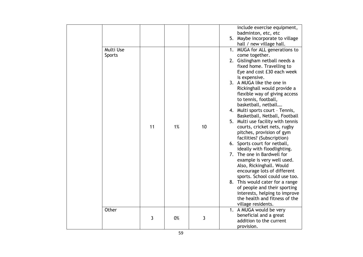|  |           |    |    |    | include exercise equipment,                                  |  |
|--|-----------|----|----|----|--------------------------------------------------------------|--|
|  |           |    |    |    | badminton, etc, etc<br>5. Maybe incorporate to village       |  |
|  |           |    |    |    | hall / new village hall.                                     |  |
|  | Multi Use |    |    |    | MUGA for ALL generations to<br>1.                            |  |
|  | Sports    |    |    |    | come together.                                               |  |
|  |           |    |    |    | 2. Gislingham netball needs a                                |  |
|  |           |    |    |    | fixed home. Travelling to                                    |  |
|  |           |    |    |    | Eye and cost £30 each week                                   |  |
|  |           |    |    |    | is expensive.<br>3. A MUGA like the one in                   |  |
|  |           |    |    |    | Rickinghall would provide a                                  |  |
|  |           |    |    |    | flexible way of giving access                                |  |
|  |           |    |    |    | to tennis, football,                                         |  |
|  |           |    |    |    | basketball, netball                                          |  |
|  |           |    |    |    | 4. Multi sports court - Tennis,                              |  |
|  |           |    |    |    | Basketball, Netball, Football                                |  |
|  |           | 11 | 1% |    | 5. Multi use facility with tennis                            |  |
|  |           |    |    | 10 | courts, cricket nets, rugby<br>pitches, provision of gym     |  |
|  |           |    |    |    | facilities? (Subscription)                                   |  |
|  |           |    |    |    | 6. Sports court for netball,                                 |  |
|  |           |    |    |    | ideally with floodlighting.                                  |  |
|  |           |    |    |    | 7. The one in Bardwell for                                   |  |
|  |           |    |    |    | example is very well used.                                   |  |
|  |           |    |    |    | Also, Rickinghall. Would                                     |  |
|  |           |    |    |    | encourage lots of different<br>sports. School could use too. |  |
|  |           |    |    |    | 8. This would cater for a range                              |  |
|  |           |    |    |    | of people and their sporting                                 |  |
|  |           |    |    |    | interests, helping to improve                                |  |
|  |           |    |    |    | the health and fitness of the                                |  |
|  |           |    |    |    | village residents.                                           |  |
|  | Other     |    |    |    | 1. A MUGA would be very                                      |  |
|  |           | 3  | 0% | 3  | beneficial and a great                                       |  |
|  |           |    |    |    | addition to the current<br>provision.                        |  |
|  |           |    |    |    |                                                              |  |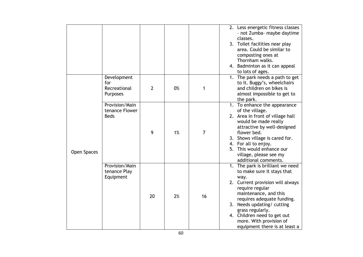|             |                                                       |                |    |                | 2. Less energetic fitness classes<br>- not Zumba- maybe daytime<br>classes.<br>3. Toilet facilities near play<br>area. Could be similar to<br>composting ones at<br>Thornham walks.<br>4. Badminton as it can appeal<br>to lots of ages.                                                                                          |
|-------------|-------------------------------------------------------|----------------|----|----------------|-----------------------------------------------------------------------------------------------------------------------------------------------------------------------------------------------------------------------------------------------------------------------------------------------------------------------------------|
|             | Development<br>for<br>Recreational<br><b>Purposes</b> | $\overline{2}$ | 0% | 1              | 1. The park needs a path to get<br>to it. Buggy's, wheelchairs<br>and children on bikes is<br>almost impossible to get to<br>the park.                                                                                                                                                                                            |
| Open Spaces | Provision/Main<br>tenance Flower<br><b>Beds</b>       | 9              | 1% | $\overline{7}$ | 1. To enhance the appearance<br>of the village.<br>2. Area in front of village hall<br>would be made really<br>attractive by well-designed<br>flower bed.<br>3. Shows village is cared for.<br>4. For all to enjoy.<br>5. This would enhance our<br>village, please see my<br>additional comments.                                |
|             | Provision/Main<br>tenance Play<br>Equipment           | 20             | 2% | 16             | 1. The park is brilliant we need<br>to make sure it stays that<br>way.<br>2. Current provision will always<br>require regular<br>maintenance, and this<br>requires adequate funding.<br>3. Needs updating/ cutting<br>grass regularly.<br>4. Children need to get out<br>more. With provision of<br>equipment there is at least a |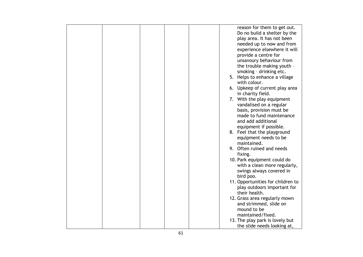|  |  |  | reason for them to get out.                   |
|--|--|--|-----------------------------------------------|
|  |  |  | Do no build a shelter by the                  |
|  |  |  | play area. It has not been                    |
|  |  |  | needed up to now and from                     |
|  |  |  | experience elsewhere it will                  |
|  |  |  | provide a centre for                          |
|  |  |  |                                               |
|  |  |  | unsavoury behaviour from                      |
|  |  |  | the trouble making youth -                    |
|  |  |  | smoking - drinking etc.                       |
|  |  |  | 5. Helps to enhance a village<br>with colour. |
|  |  |  | 6. Upkeep of current play area                |
|  |  |  | in charity field.                             |
|  |  |  | 7. With the play equipment                    |
|  |  |  | vandalised on a regular                       |
|  |  |  | basis, provision must be                      |
|  |  |  | made to fund maintenance                      |
|  |  |  |                                               |
|  |  |  | and add additional                            |
|  |  |  | equipment if possible.                        |
|  |  |  | 8. Feel that the playground                   |
|  |  |  | equipment needs to be                         |
|  |  |  | maintained.                                   |
|  |  |  | 9. Often ruined and needs                     |
|  |  |  | fixing.                                       |
|  |  |  | 10. Park equipment could do                   |
|  |  |  | with a clean more regularly,                  |
|  |  |  | swings always covered in                      |
|  |  |  | bird poo.                                     |
|  |  |  | 11. Opportunities for children to             |
|  |  |  | play outdoors important for                   |
|  |  |  | their health.                                 |
|  |  |  |                                               |
|  |  |  | 12. Grass area regularly mown                 |
|  |  |  | and strimmed, slide on                        |
|  |  |  | mound to be                                   |
|  |  |  | maintained/fixed.                             |
|  |  |  | 13. The play park is lovely but               |
|  |  |  | the slide needs looking at,                   |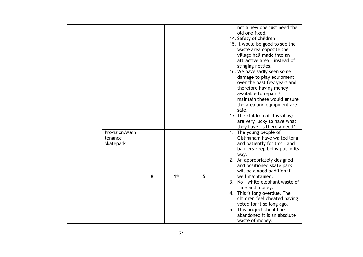|                                        |   |    |   | not a new one just need the<br>old one fixed.<br>14. Safety of children.<br>15. It would be good to see the<br>waste area opposite the<br>village hall made into an<br>attractive area - instead of<br>stinging nettles.<br>16. We have sadly seen some<br>damage to play equipment<br>over the past few years and<br>therefore having money<br>available to repair /<br>maintain these would ensure<br>the area and equipment are<br>safe.<br>17. The children of this village<br>are very lucky to have what |
|----------------------------------------|---|----|---|----------------------------------------------------------------------------------------------------------------------------------------------------------------------------------------------------------------------------------------------------------------------------------------------------------------------------------------------------------------------------------------------------------------------------------------------------------------------------------------------------------------|
|                                        |   |    |   |                                                                                                                                                                                                                                                                                                                                                                                                                                                                                                                |
|                                        |   |    |   | they have. Is there a need?                                                                                                                                                                                                                                                                                                                                                                                                                                                                                    |
| Provision/Main<br>tenance<br>Skatepark | 8 | 1% | 5 | 1. The young people of<br>Gislingham have waited long<br>and patiently for this - and<br>barriers keep being put in its<br>way.<br>2. An appropriately designed<br>and positioned skate park<br>will be a good addition if<br>well maintained.<br>3. No - white elephant waste of<br>time and money.<br>4. This is long overdue. The<br>children feel cheated having                                                                                                                                           |
|                                        |   |    |   | voted for it so long ago.<br>5. This project should be<br>abandoned it is an absolute<br>waste of money.                                                                                                                                                                                                                                                                                                                                                                                                       |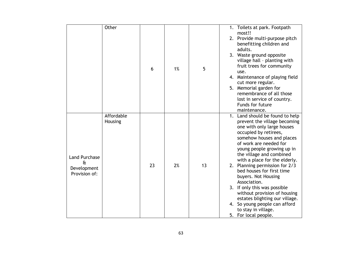|                                                                            | Other                 | 6  | 1% | 5  | 1. Toilets at park. Footpath<br>most!!<br>2. Provide multi-purpose pitch<br>benefitting children and<br>adults.<br>3. Waste ground opposite<br>village hall - planting with<br>fruit trees for community<br>use.<br>4. Maintenance of playing field<br>cut more regular.<br>5. Memorial garden for<br>remembrance of all those<br>lost in service of country.<br>Funds for future<br>maintenance.                                                                                                                                                                |
|----------------------------------------------------------------------------|-----------------------|----|----|----|------------------------------------------------------------------------------------------------------------------------------------------------------------------------------------------------------------------------------------------------------------------------------------------------------------------------------------------------------------------------------------------------------------------------------------------------------------------------------------------------------------------------------------------------------------------|
| <b>Land Purchase</b><br>$\mathbf{\hat{a}}$<br>Development<br>Provision of: | Affordable<br>Housing | 23 | 2% | 13 | 1. Land should be found to help<br>prevent the village becoming<br>one with only large houses<br>occupied by retirees,<br>somehow houses and places<br>of work are needed for<br>young people growing up in<br>the village and combined<br>with a place for the elderly.<br>2. Planning permission for 2/3<br>bed houses for first time<br>buyers. Not Housing<br>Association.<br>3. If only this was possible<br>without provision of housing<br>estates blighting our village.<br>4. So young people can afford<br>to stay in village.<br>5. For local people. |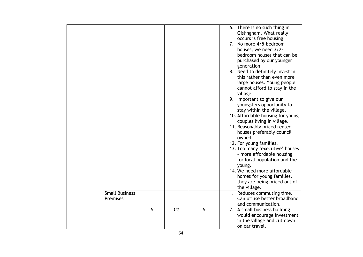|                                   |   |    |   | 6. There is no such thing in<br>Gislingham. What really<br>occurs is free housing.<br>7. No more 4/5-bedroom<br>houses, we need 3/2-<br>bedroom houses that can be<br>purchased by our younger<br>generation.<br>8. Need to definitely invest in<br>this rather than even more<br>large houses. Young people<br>cannot afford to stay in the<br>village.<br>9. Important to give our<br>youngsters opportunity to<br>stay within the village.<br>10. Affordable housing for young<br>couples living in village.<br>11. Reasonably priced rented<br>houses preferably council<br>owned.<br>12. For young families.<br>13. Too many 'executive' houses<br>- more affordable housing<br>for local population and the<br>young.<br>14. We need more affordable<br>homes for young families,<br>they are being priced out of |
|-----------------------------------|---|----|---|-------------------------------------------------------------------------------------------------------------------------------------------------------------------------------------------------------------------------------------------------------------------------------------------------------------------------------------------------------------------------------------------------------------------------------------------------------------------------------------------------------------------------------------------------------------------------------------------------------------------------------------------------------------------------------------------------------------------------------------------------------------------------------------------------------------------------|
|                                   |   |    |   | the village.                                                                                                                                                                                                                                                                                                                                                                                                                                                                                                                                                                                                                                                                                                                                                                                                            |
| <b>Small Business</b><br>Premises |   |    |   | 1. Reduces commuting time.<br>Can utilise better broadband<br>and communication.                                                                                                                                                                                                                                                                                                                                                                                                                                                                                                                                                                                                                                                                                                                                        |
|                                   | 5 | 0% | 5 | 2. A small business building<br>would encourage investment<br>in the village and cut down<br>on car travel.                                                                                                                                                                                                                                                                                                                                                                                                                                                                                                                                                                                                                                                                                                             |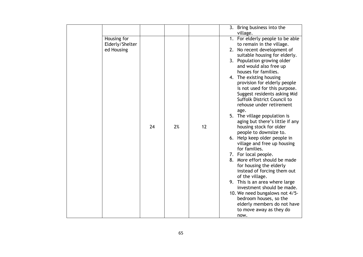|                 |    |    |    | 3. Bring business into the                                    |
|-----------------|----|----|----|---------------------------------------------------------------|
|                 |    |    |    | village.                                                      |
| Housing for     |    |    |    | 1. For elderly people to be able                              |
| Elderly/Shelter |    |    |    | to remain in the village.                                     |
| ed Housing      |    |    |    | 2. No recent development of<br>suitable housing for elderly.  |
|                 |    |    |    | 3. Population growing older                                   |
|                 |    |    |    | and would also free up                                        |
|                 |    |    |    | houses for families.                                          |
|                 |    |    |    | 4. The existing housing                                       |
|                 |    |    |    | provision for elderly people                                  |
|                 |    |    |    | is not used for this purpose.<br>Suggest residents asking Mid |
|                 |    |    |    | Suffolk District Council to                                   |
|                 |    |    |    | rehouse under retirement                                      |
|                 |    |    |    | age.                                                          |
|                 |    |    |    | 5. The village population is                                  |
|                 | 24 | 2% | 12 | aging but there's little if any<br>housing stock for older    |
|                 |    |    |    | people to downsize to.                                        |
|                 |    |    |    | 6. Help keep older people in                                  |
|                 |    |    |    | village and free up housing                                   |
|                 |    |    |    | for families.                                                 |
|                 |    |    |    | 7. For local people.                                          |
|                 |    |    |    | 8. More effort should be made<br>for housing the elderly      |
|                 |    |    |    | instead of forcing them out                                   |
|                 |    |    |    | of the village.                                               |
|                 |    |    |    | 9. This is an area where large                                |
|                 |    |    |    | investment should be made.                                    |
|                 |    |    |    | 10. We need bungalows not 4/5-<br>bedroom houses, so the      |
|                 |    |    |    | elderly members do not have                                   |
|                 |    |    |    | to move away as they do                                       |
|                 |    |    |    | now.                                                          |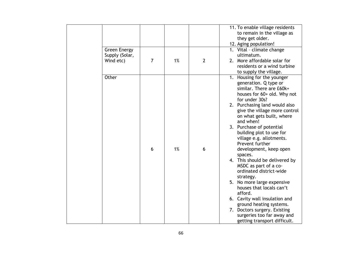|                     |                |    |                | 11. To enable village residents |
|---------------------|----------------|----|----------------|---------------------------------|
|                     |                |    |                | to remain in the village as     |
|                     |                |    |                | they get older.                 |
|                     |                |    |                | 12. Aging population!           |
| <b>Green Energy</b> |                |    |                | 1. Vital - climate change       |
| Supply (Solar,      |                |    |                | ultimatum.                      |
| Wind etc)           | $\overline{7}$ | 1% | $\overline{2}$ | 2. More affordable solar for    |
|                     |                |    |                | residents or a wind turbine     |
|                     |                |    |                | to supply the village.          |
| Other               |                |    |                | 1. Housing for the younger      |
|                     |                |    |                | generation. Q type or           |
|                     |                |    |                | similar. There are £60k+        |
|                     |                |    |                | houses for 60+ old. Why not     |
|                     |                |    |                | for under 30s?                  |
|                     |                |    |                | 2. Purchasing land would also   |
|                     |                |    |                | give the village more control   |
|                     |                |    |                | on what gets built, where       |
|                     |                |    |                | and when!                       |
|                     |                |    |                | 3. Purchase of potential        |
|                     |                |    |                | building plot to use for        |
|                     |                |    |                | village e.g. allotments.        |
|                     |                |    |                | Prevent further                 |
|                     | 6              | 1% | 6              | development, keep open          |
|                     |                |    |                | spaces.                         |
|                     |                |    |                | 4. This should be delivered by  |
|                     |                |    |                | MSDC as part of a co-           |
|                     |                |    |                | ordinated district-wide         |
|                     |                |    |                | strategy.                       |
|                     |                |    |                | 5. No more large expensive      |
|                     |                |    |                | houses that locals can't        |
|                     |                |    |                | afford.                         |
|                     |                |    |                | 6. Cavity wall insulation and   |
|                     |                |    |                | ground heating systems.         |
|                     |                |    |                | 7. Doctors surgery. Existing    |
|                     |                |    |                | surgeries too far away and      |
|                     |                |    |                | getting transport difficult.    |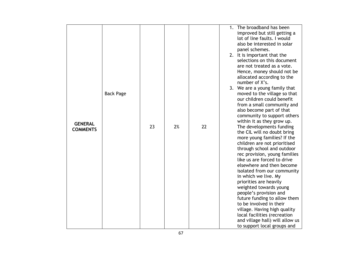|                 |                  |    |    |    | The broadband has been<br>1.                                   |
|-----------------|------------------|----|----|----|----------------------------------------------------------------|
|                 |                  |    |    |    | improved but still getting a<br>lot of line faults. I would    |
|                 |                  |    |    |    | also be interested in solar                                    |
|                 |                  |    |    |    | panel schemes.                                                 |
|                 |                  |    |    |    | 2. It is important that the                                    |
|                 |                  |    |    |    | selections on this document                                    |
|                 |                  |    |    |    | are not treated as a vote.                                     |
|                 |                  |    |    |    | Hence, money should not be                                     |
|                 |                  |    |    |    | allocated according to the                                     |
|                 |                  |    |    |    | number of X's.                                                 |
|                 |                  |    |    |    | 3. We are a young family that                                  |
|                 | <b>Back Page</b> |    |    |    | moved to the village so that                                   |
|                 |                  |    |    |    | our children could benefit                                     |
|                 |                  |    |    |    | from a small community and                                     |
|                 |                  |    |    |    | also become part of that                                       |
|                 |                  |    |    |    | community to support others                                    |
| <b>GENERAL</b>  |                  |    |    |    | within it as they grow up.                                     |
| <b>COMMENTS</b> |                  | 23 | 2% | 22 | The developments funding                                       |
|                 |                  |    |    |    | the CIL will no doubt bring                                    |
|                 |                  |    |    |    | more young families? If the<br>children are not prioritised    |
|                 |                  |    |    |    | through school and outdoor                                     |
|                 |                  |    |    |    | rec provision, young families                                  |
|                 |                  |    |    |    | like us are forced to drive                                    |
|                 |                  |    |    |    | elsewhere and then become                                      |
|                 |                  |    |    |    | isolated from our community                                    |
|                 |                  |    |    |    | in which we live. My                                           |
|                 |                  |    |    |    | priorities are heavily                                         |
|                 |                  |    |    |    | weighted towards young                                         |
|                 |                  |    |    |    | people's provision and                                         |
|                 |                  |    |    |    | future funding to allow them                                   |
|                 |                  |    |    |    | to be involved in their                                        |
|                 |                  |    |    |    | village. Having high quality                                   |
|                 |                  |    |    |    | local facilities (recreation                                   |
|                 |                  |    |    |    | and village hall) will allow us<br>to support local groups and |
|                 |                  |    |    |    |                                                                |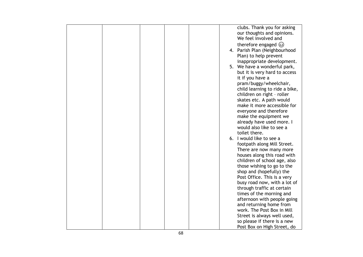|  |  |  | clubs. Thank you for asking     |
|--|--|--|---------------------------------|
|  |  |  | our thoughts and opinions.      |
|  |  |  | We feel involved and            |
|  |  |  |                                 |
|  |  |  | therefore engaged $\circled{e}$ |
|  |  |  | 4. Parish Plan (Neighbourhood   |
|  |  |  | Plan) to help prevent           |
|  |  |  | inappropriate development.      |
|  |  |  |                                 |
|  |  |  | 5. We have a wonderful park,    |
|  |  |  | but it is very hard to access   |
|  |  |  | it if you have a                |
|  |  |  | pram/buggy/wheelchair,          |
|  |  |  | child learning to ride a bike,  |
|  |  |  | children on right - roller      |
|  |  |  | skates etc. A path would        |
|  |  |  | make it more accessible for     |
|  |  |  |                                 |
|  |  |  | everyone and therefore          |
|  |  |  | make the equipment we           |
|  |  |  | already have used more. I       |
|  |  |  | would also like to see a        |
|  |  |  | toilet there.                   |
|  |  |  | 6. I would like to see a        |
|  |  |  | footpath along Mill Street.     |
|  |  |  |                                 |
|  |  |  | There are now many more         |
|  |  |  | houses along this road with     |
|  |  |  | children of school age, also    |
|  |  |  | those wishing to go to the      |
|  |  |  | shop and (hopefully) the        |
|  |  |  | Post Office. This is a very     |
|  |  |  | busy road now, with a lot of    |
|  |  |  | through traffic at certain      |
|  |  |  | times of the morning and        |
|  |  |  |                                 |
|  |  |  | afternoon with people going     |
|  |  |  | and returning home from         |
|  |  |  | work. The Post Box in Mill      |
|  |  |  | Street is always well used,     |
|  |  |  | so please if there is a new     |
|  |  |  | Post Box on High Street, do     |
|  |  |  |                                 |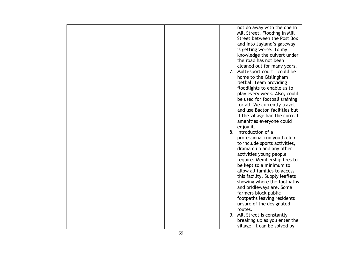|  |  |  | not do away with the one in       |
|--|--|--|-----------------------------------|
|  |  |  | Mill Street. Flooding in Mill     |
|  |  |  | Street between the Post Box       |
|  |  |  | and into Jayland's gateway        |
|  |  |  | is getting worse. To my           |
|  |  |  | knowledge the culvert under       |
|  |  |  | the road has not been             |
|  |  |  | cleaned out for many years.       |
|  |  |  | 7. Multi-sport court - could be   |
|  |  |  | home to the Gislingham            |
|  |  |  | <b>Netball Team providing</b>     |
|  |  |  | floodlights to enable us to       |
|  |  |  | play every week. Also, could      |
|  |  |  | be used for football training     |
|  |  |  | for all. We currently travel      |
|  |  |  | and use Bacton facilities but     |
|  |  |  | if the village had the correct    |
|  |  |  | amenities everyone could          |
|  |  |  | enjoy it.<br>8. Introduction of a |
|  |  |  | professional run youth club       |
|  |  |  | to include sports activities,     |
|  |  |  | drama club and any other          |
|  |  |  | activities young people           |
|  |  |  | require. Membership fees to       |
|  |  |  | be kept to a minimum to           |
|  |  |  | allow all families to access      |
|  |  |  | this facility. Supply leaflets    |
|  |  |  | showing where the footpaths       |
|  |  |  | and bridleways are. Some          |
|  |  |  | farmers block public              |
|  |  |  | footpaths leaving residents       |
|  |  |  | unsure of the designated          |
|  |  |  | routes.                           |
|  |  |  | 9. Mill Street is constantly      |
|  |  |  | breaking up as you enter the      |
|  |  |  | village. It can be solved by      |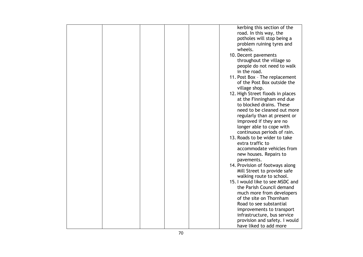|  |  | kerbing this section of the      |
|--|--|----------------------------------|
|  |  | road. In this way, the           |
|  |  | potholes will stop being a       |
|  |  | problem ruining tyres and        |
|  |  | wheels.                          |
|  |  | 10. Decent pavements             |
|  |  |                                  |
|  |  | throughout the village so        |
|  |  | people do not need to walk       |
|  |  | in the road.                     |
|  |  | 11. Post Box - The replacement   |
|  |  | of the Post Box outside the      |
|  |  | village shop.                    |
|  |  | 12. High Street floods in places |
|  |  | at the Finningham end due        |
|  |  | to blocked drains. These         |
|  |  | need to be cleaned out more      |
|  |  | regularly than at present or     |
|  |  | improved if they are no          |
|  |  | longer able to cope with         |
|  |  | continuous periods of rain.      |
|  |  | 13. Roads to be wider to take    |
|  |  | extra traffic to                 |
|  |  | accommodate vehicles from        |
|  |  |                                  |
|  |  | new houses. Repairs to           |
|  |  | pavements.                       |
|  |  | 14. Provision of footways along  |
|  |  | Mill Street to provide safe      |
|  |  | walking route to school.         |
|  |  | 15. I would like to see MSDC and |
|  |  | the Parish Council demand        |
|  |  | much more from developers        |
|  |  | of the site on Thornham          |
|  |  | Road to see substantial          |
|  |  | improvements to transport        |
|  |  | infrastructure, bus service      |
|  |  | provision and safety. I would    |
|  |  | have liked to add more           |
|  |  |                                  |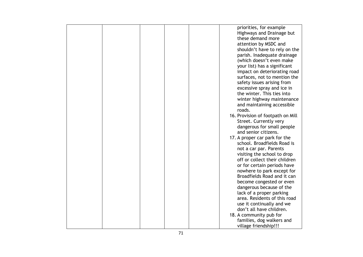|  |  | priorities, for example           |
|--|--|-----------------------------------|
|  |  | Highways and Drainage but         |
|  |  | these demand more                 |
|  |  | attention by MSDC and             |
|  |  | shouldn't have to rely on the     |
|  |  | parish. Inadequate drainage       |
|  |  | (which doesn't even make          |
|  |  | your list) has a significant      |
|  |  | impact on deteriorating road      |
|  |  | surfaces, not to mention the      |
|  |  | safety issues arising from        |
|  |  | excessive spray and ice in        |
|  |  | the winter. This ties into        |
|  |  |                                   |
|  |  | winter highway maintenance        |
|  |  | and maintaining accessible        |
|  |  | roads.                            |
|  |  | 16. Provision of footpath on Mill |
|  |  | Street. Currently very            |
|  |  | dangerous for small people        |
|  |  | and senior citizens.              |
|  |  | 17. A proper car park for the     |
|  |  | school. Broadfields Road is       |
|  |  | not a car par. Parents            |
|  |  | visiting the school to drop       |
|  |  | off or collect their children     |
|  |  | or for certain periods have       |
|  |  | nowhere to park except for        |
|  |  | Broadfields Road and it can       |
|  |  | become congested or even          |
|  |  | dangerous because of the          |
|  |  | lack of a proper parking          |
|  |  | area. Residents of this road      |
|  |  | use it continually and we         |
|  |  | don't all have children.          |
|  |  | 18. A community pub for           |
|  |  | families, dog walkers and         |
|  |  | village friendship!!!             |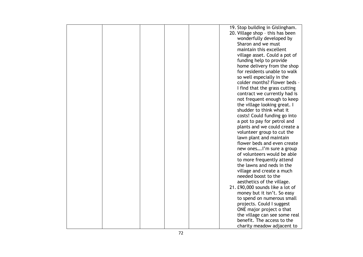|  |  | 19. Stop building in Gislingham. |
|--|--|----------------------------------|
|  |  | 20. Village shop - this has been |
|  |  | wonderfully developed by         |
|  |  | Sharon and we must               |
|  |  | maintain this excellent          |
|  |  | village asset. Could a pot of    |
|  |  | funding help to provide          |
|  |  | home delivery from the shop      |
|  |  | for residents unable to walk     |
|  |  | so well especially in the        |
|  |  | colder months? Flower beds -     |
|  |  | I find that the grass cutting    |
|  |  | contract we currently had is     |
|  |  | not frequent enough to keep      |
|  |  | the village looking great. I     |
|  |  | shudder to think what it         |
|  |  |                                  |
|  |  | costs! Could funding go into     |
|  |  | a pot to pay for petrol and      |
|  |  | plants and we could create a     |
|  |  | volunteer group to cut the       |
|  |  | lawn plant and maintain          |
|  |  | flower beds and even create      |
|  |  | new ones I'm sure a group        |
|  |  | of volunteers would be able      |
|  |  | to more frequently attend        |
|  |  | the lawns and neds in the        |
|  |  | village and create a much        |
|  |  | needed boost to the              |
|  |  | aesthetics of the village.       |
|  |  | 21. £90,000 sounds like a lot of |
|  |  | money but it isn't. So easy      |
|  |  | to spend on numerous small       |
|  |  | projects. Could I suggest        |
|  |  | ONE major project o that         |
|  |  | the village can see some real    |
|  |  | benefit. The access to the       |
|  |  | charity meadow adjacent to       |